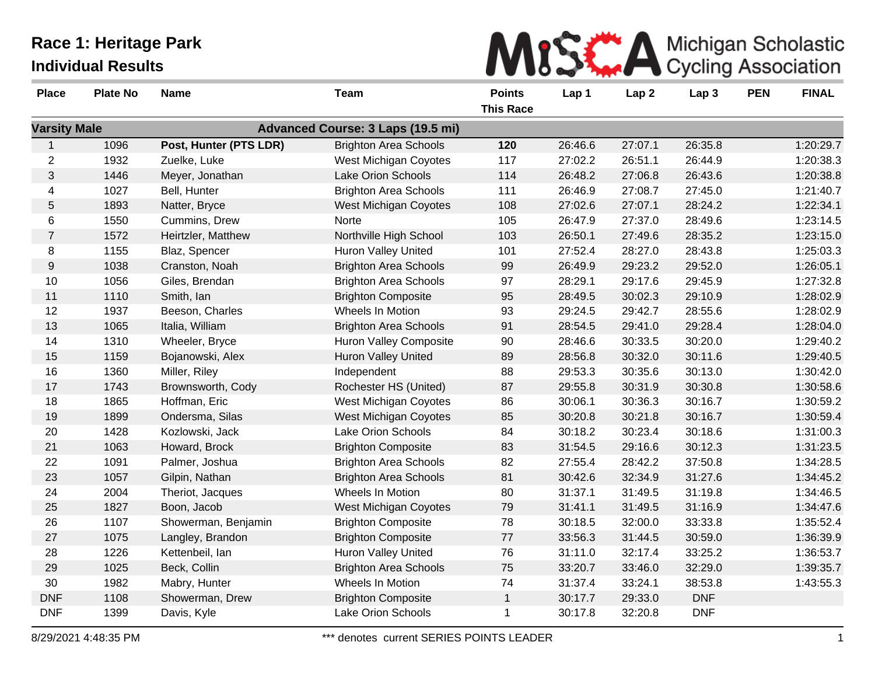|  |  |  |  | MISS A Michigan Scholastic |  |
|--|--|--|--|----------------------------|--|
|  |  |  |  |                            |  |

| <b>Place</b>        | <b>Plate No</b> | <b>Name</b>            | Team                                     | <b>Points</b>    | Lap 1   | Lap <sub>2</sub> | Lap <sub>3</sub> | <b>PEN</b> | <b>FINAL</b> |
|---------------------|-----------------|------------------------|------------------------------------------|------------------|---------|------------------|------------------|------------|--------------|
|                     |                 |                        |                                          | <b>This Race</b> |         |                  |                  |            |              |
| <b>Varsity Male</b> |                 |                        | <b>Advanced Course: 3 Laps (19.5 mi)</b> |                  |         |                  |                  |            |              |
| $\mathbf{1}$        | 1096            | Post, Hunter (PTS LDR) | <b>Brighton Area Schools</b>             | 120              | 26:46.6 | 27:07.1          | 26:35.8          |            | 1:20:29.7    |
| $\overline{c}$      | 1932            | Zuelke, Luke           | West Michigan Coyotes                    | 117              | 27:02.2 | 26:51.1          | 26:44.9          |            | 1:20:38.3    |
| 3                   | 1446            | Meyer, Jonathan        | Lake Orion Schools                       | 114              | 26:48.2 | 27:06.8          | 26:43.6          |            | 1:20:38.8    |
| 4                   | 1027            | Bell, Hunter           | <b>Brighton Area Schools</b>             | 111              | 26:46.9 | 27:08.7          | 27:45.0          |            | 1:21:40.7    |
| 5                   | 1893            | Natter, Bryce          | <b>West Michigan Coyotes</b>             | 108              | 27:02.6 | 27:07.1          | 28:24.2          |            | 1:22:34.1    |
| 6                   | 1550            | Cummins, Drew          | Norte                                    | 105              | 26:47.9 | 27:37.0          | 28:49.6          |            | 1:23:14.5    |
| $\overline{7}$      | 1572            | Heirtzler, Matthew     | Northville High School                   | 103              | 26:50.1 | 27:49.6          | 28:35.2          |            | 1:23:15.0    |
| 8                   | 1155            | Blaz, Spencer          | <b>Huron Valley United</b>               | 101              | 27:52.4 | 28:27.0          | 28:43.8          |            | 1:25:03.3    |
| 9                   | 1038            | Cranston, Noah         | <b>Brighton Area Schools</b>             | 99               | 26:49.9 | 29:23.2          | 29:52.0          |            | 1:26:05.1    |
| 10                  | 1056            | Giles, Brendan         | <b>Brighton Area Schools</b>             | 97               | 28:29.1 | 29:17.6          | 29:45.9          |            | 1:27:32.8    |
| 11                  | 1110            | Smith, Ian             | <b>Brighton Composite</b>                | 95               | 28:49.5 | 30:02.3          | 29:10.9          |            | 1:28:02.9    |
| 12                  | 1937            | Beeson, Charles        | Wheels In Motion                         | 93               | 29:24.5 | 29:42.7          | 28:55.6          |            | 1:28:02.9    |
| 13                  | 1065            | Italia, William        | <b>Brighton Area Schools</b>             | 91               | 28:54.5 | 29:41.0          | 29:28.4          |            | 1:28:04.0    |
| 14                  | 1310            | Wheeler, Bryce         | <b>Huron Valley Composite</b>            | 90               | 28:46.6 | 30:33.5          | 30:20.0          |            | 1:29:40.2    |
| 15                  | 1159            | Bojanowski, Alex       | <b>Huron Valley United</b>               | 89               | 28:56.8 | 30:32.0          | 30:11.6          |            | 1:29:40.5    |
| 16                  | 1360            | Miller, Riley          | Independent                              | 88               | 29:53.3 | 30:35.6          | 30:13.0          |            | 1:30:42.0    |
| 17                  | 1743            | Brownsworth, Cody      | Rochester HS (United)                    | 87               | 29:55.8 | 30:31.9          | 30:30.8          |            | 1:30:58.6    |
| 18                  | 1865            | Hoffman, Eric          | West Michigan Coyotes                    | 86               | 30:06.1 | 30:36.3          | 30:16.7          |            | 1:30:59.2    |
| 19                  | 1899            | Ondersma, Silas        | <b>West Michigan Coyotes</b>             | 85               | 30:20.8 | 30:21.8          | 30:16.7          |            | 1:30:59.4    |
| 20                  | 1428            | Kozlowski, Jack        | Lake Orion Schools                       | 84               | 30:18.2 | 30:23.4          | 30:18.6          |            | 1:31:00.3    |
| 21                  | 1063            | Howard, Brock          | <b>Brighton Composite</b>                | 83               | 31:54.5 | 29:16.6          | 30:12.3          |            | 1:31:23.5    |
| 22                  | 1091            | Palmer, Joshua         | <b>Brighton Area Schools</b>             | 82               | 27:55.4 | 28:42.2          | 37:50.8          |            | 1:34:28.5    |
| 23                  | 1057            | Gilpin, Nathan         | <b>Brighton Area Schools</b>             | 81               | 30:42.6 | 32:34.9          | 31:27.6          |            | 1:34:45.2    |
| 24                  | 2004            | Theriot, Jacques       | Wheels In Motion                         | 80               | 31:37.1 | 31:49.5          | 31:19.8          |            | 1:34:46.5    |
| 25                  | 1827            | Boon, Jacob            | <b>West Michigan Coyotes</b>             | 79               | 31:41.1 | 31:49.5          | 31:16.9          |            | 1:34:47.6    |
| 26                  | 1107            | Showerman, Benjamin    | <b>Brighton Composite</b>                | 78               | 30:18.5 | 32:00.0          | 33:33.8          |            | 1:35:52.4    |
| 27                  | 1075            | Langley, Brandon       | <b>Brighton Composite</b>                | 77               | 33:56.3 | 31:44.5          | 30:59.0          |            | 1:36:39.9    |
| 28                  | 1226            | Kettenbeil, lan        | Huron Valley United                      | 76               | 31:11.0 | 32:17.4          | 33:25.2          |            | 1:36:53.7    |
| 29                  | 1025            | Beck, Collin           | <b>Brighton Area Schools</b>             | 75               | 33:20.7 | 33:46.0          | 32:29.0          |            | 1:39:35.7    |
| 30                  | 1982            | Mabry, Hunter          | Wheels In Motion                         | 74               | 31:37.4 | 33:24.1          | 38:53.8          |            | 1:43:55.3    |
| <b>DNF</b>          | 1108            | Showerman, Drew        | <b>Brighton Composite</b>                | $\mathbf{1}$     | 30:17.7 | 29:33.0          | <b>DNF</b>       |            |              |
| <b>DNF</b>          | 1399            | Davis, Kyle            | Lake Orion Schools                       | $\mathbf 1$      | 30:17.8 | 32:20.8          | <b>DNF</b>       |            |              |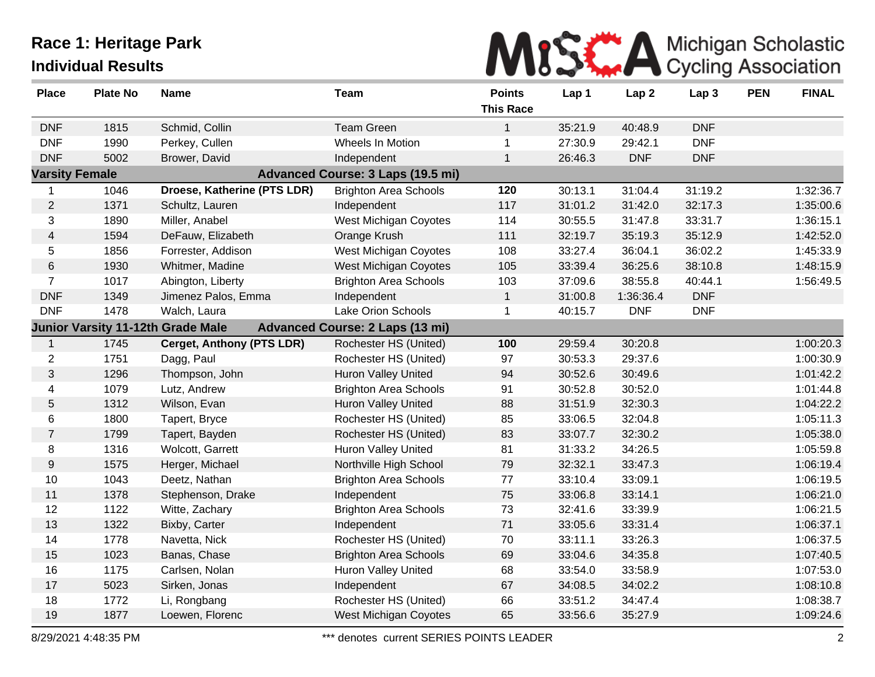

| <b>Place</b>          | <b>Plate No</b> | <b>Name</b>                              | <b>Team</b>                              | <b>Points</b><br><b>This Race</b> | Lap 1   | Lap <sub>2</sub> | Lap 3      | <b>PEN</b> | <b>FINAL</b> |
|-----------------------|-----------------|------------------------------------------|------------------------------------------|-----------------------------------|---------|------------------|------------|------------|--------------|
| <b>DNF</b>            | 1815            | Schmid, Collin                           | <b>Team Green</b>                        | $\mathbf{1}$                      | 35:21.9 | 40:48.9          | <b>DNF</b> |            |              |
| <b>DNF</b>            | 1990            | Perkey, Cullen                           | Wheels In Motion                         | 1                                 | 27:30.9 | 29:42.1          | <b>DNF</b> |            |              |
| <b>DNF</b>            | 5002            | Brower, David                            | Independent                              | $\mathbf{1}$                      | 26:46.3 | <b>DNF</b>       | <b>DNF</b> |            |              |
| <b>Varsity Female</b> |                 |                                          | <b>Advanced Course: 3 Laps (19.5 mi)</b> |                                   |         |                  |            |            |              |
| 1                     | 1046            | Droese, Katherine (PTS LDR)              | <b>Brighton Area Schools</b>             | 120                               | 30:13.1 | 31:04.4          | 31:19.2    |            | 1:32:36.7    |
| $\mathbf{2}$          | 1371            | Schultz, Lauren                          | Independent                              | 117                               | 31:01.2 | 31:42.0          | 32:17.3    |            | 1:35:00.6    |
| 3                     | 1890            | Miller, Anabel                           | West Michigan Coyotes                    | 114                               | 30:55.5 | 31:47.8          | 33:31.7    |            | 1:36:15.1    |
| 4                     | 1594            | DeFauw, Elizabeth                        | Orange Krush                             | 111                               | 32:19.7 | 35:19.3          | 35:12.9    |            | 1:42:52.0    |
| 5                     | 1856            | Forrester, Addison                       | <b>West Michigan Coyotes</b>             | 108                               | 33:27.4 | 36:04.1          | 36:02.2    |            | 1:45:33.9    |
| $\,6$                 | 1930            | Whitmer, Madine                          | West Michigan Coyotes                    | 105                               | 33:39.4 | 36:25.6          | 38:10.8    |            | 1:48:15.9    |
| $\overline{7}$        | 1017            | Abington, Liberty                        | <b>Brighton Area Schools</b>             | 103                               | 37:09.6 | 38:55.8          | 40:44.1    |            | 1:56:49.5    |
| <b>DNF</b>            | 1349            | Jimenez Palos, Emma                      | Independent                              | $\mathbf{1}$                      | 31:00.8 | 1:36:36.4        | <b>DNF</b> |            |              |
| <b>DNF</b>            | 1478            | Walch, Laura                             | Lake Orion Schools                       | $\mathbf{1}$                      | 40:15.7 | <b>DNF</b>       | <b>DNF</b> |            |              |
|                       |                 | <b>Junior Varsity 11-12th Grade Male</b> | <b>Advanced Course: 2 Laps (13 mi)</b>   |                                   |         |                  |            |            |              |
| $\mathbf{1}$          | 1745            | <b>Cerget, Anthony (PTS LDR)</b>         | Rochester HS (United)                    | 100                               | 29:59.4 | 30:20.8          |            |            | 1:00:20.3    |
| $\overline{2}$        | 1751            | Dagg, Paul                               | Rochester HS (United)                    | 97                                | 30:53.3 | 29:37.6          |            |            | 1:00:30.9    |
| 3                     | 1296            | Thompson, John                           | <b>Huron Valley United</b>               | 94                                | 30:52.6 | 30:49.6          |            |            | 1:01:42.2    |
| 4                     | 1079            | Lutz, Andrew                             | <b>Brighton Area Schools</b>             | 91                                | 30:52.8 | 30:52.0          |            |            | 1:01:44.8    |
| $5\,$                 | 1312            | Wilson, Evan                             | Huron Valley United                      | 88                                | 31:51.9 | 32:30.3          |            |            | 1:04:22.2    |
| 6                     | 1800            | Tapert, Bryce                            | Rochester HS (United)                    | 85                                | 33:06.5 | 32:04.8          |            |            | 1:05:11.3    |
| $\overline{7}$        | 1799            | Tapert, Bayden                           | Rochester HS (United)                    | 83                                | 33:07.7 | 32:30.2          |            |            | 1:05:38.0    |
| 8                     | 1316            | Wolcott, Garrett                         | <b>Huron Valley United</b>               | 81                                | 31:33.2 | 34:26.5          |            |            | 1:05:59.8    |
| 9                     | 1575            | Herger, Michael                          | Northville High School                   | 79                                | 32:32.1 | 33:47.3          |            |            | 1:06:19.4    |
| $10$                  | 1043            | Deetz, Nathan                            | <b>Brighton Area Schools</b>             | 77                                | 33:10.4 | 33:09.1          |            |            | 1:06:19.5    |
| 11                    | 1378            | Stephenson, Drake                        | Independent                              | 75                                | 33:06.8 | 33:14.1          |            |            | 1:06:21.0    |
| 12                    | 1122            | Witte, Zachary                           | <b>Brighton Area Schools</b>             | 73                                | 32:41.6 | 33:39.9          |            |            | 1:06:21.5    |
| 13                    | 1322            | Bixby, Carter                            | Independent                              | 71                                | 33:05.6 | 33:31.4          |            |            | 1:06:37.1    |
| 14                    | 1778            | Navetta, Nick                            | Rochester HS (United)                    | 70                                | 33:11.1 | 33:26.3          |            |            | 1:06:37.5    |
| 15                    | 1023            | Banas, Chase                             | <b>Brighton Area Schools</b>             | 69                                | 33:04.6 | 34:35.8          |            |            | 1:07:40.5    |
| 16                    | 1175            | Carlsen, Nolan                           | <b>Huron Valley United</b>               | 68                                | 33:54.0 | 33:58.9          |            |            | 1:07:53.0    |
| 17                    | 5023            | Sirken, Jonas                            | Independent                              | 67                                | 34:08.5 | 34:02.2          |            |            | 1:08:10.8    |
| 18                    | 1772            | Li, Rongbang                             | Rochester HS (United)                    | 66                                | 33:51.2 | 34:47.4          |            |            | 1:08:38.7    |
| 19                    | 1877            | Loewen, Florenc                          | <b>West Michigan Coyotes</b>             | 65                                | 33:56.6 | 35:27.9          |            |            | 1:09:24.6    |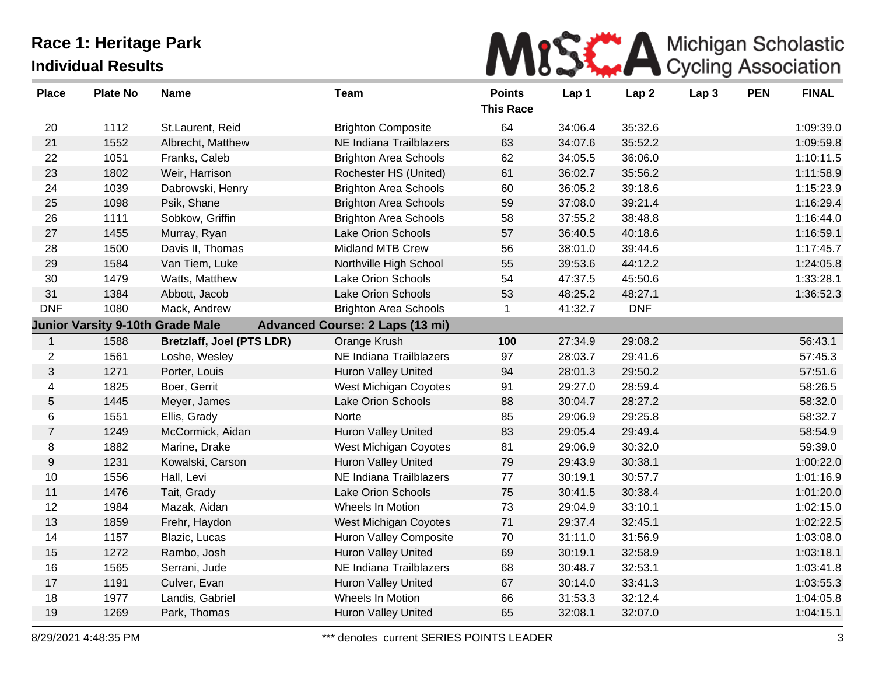

| <b>Place</b>     | <b>Plate No</b> | <b>Name</b>                             | <b>Team</b>                            | <b>Points</b><br><b>This Race</b> | Lap 1   | Lap <sub>2</sub> | Lap <sub>3</sub> | <b>PEN</b> | <b>FINAL</b> |
|------------------|-----------------|-----------------------------------------|----------------------------------------|-----------------------------------|---------|------------------|------------------|------------|--------------|
| 20               | 1112            | St.Laurent, Reid                        | <b>Brighton Composite</b>              | 64                                | 34:06.4 | 35:32.6          |                  |            | 1:09:39.0    |
| 21               | 1552            | Albrecht, Matthew                       | NE Indiana Trailblazers                | 63                                | 34:07.6 | 35:52.2          |                  |            | 1:09:59.8    |
| 22               | 1051            | Franks, Caleb                           | <b>Brighton Area Schools</b>           | 62                                | 34:05.5 | 36:06.0          |                  |            | 1:10:11.5    |
| 23               | 1802            | Weir, Harrison                          | Rochester HS (United)                  | 61                                | 36:02.7 | 35:56.2          |                  |            | 1:11:58.9    |
| 24               | 1039            | Dabrowski, Henry                        | <b>Brighton Area Schools</b>           | 60                                | 36:05.2 | 39:18.6          |                  |            | 1:15:23.9    |
| 25               | 1098            | Psik, Shane                             | <b>Brighton Area Schools</b>           | 59                                | 37:08.0 | 39:21.4          |                  |            | 1:16:29.4    |
| 26               | 1111            | Sobkow, Griffin                         | <b>Brighton Area Schools</b>           | 58                                | 37:55.2 | 38:48.8          |                  |            | 1:16:44.0    |
| 27               | 1455            | Murray, Ryan                            | Lake Orion Schools                     | 57                                | 36:40.5 | 40:18.6          |                  |            | 1:16:59.1    |
| 28               | 1500            | Davis II, Thomas                        | <b>Midland MTB Crew</b>                | 56                                | 38:01.0 | 39:44.6          |                  |            | 1:17:45.7    |
| 29               | 1584            | Van Tiem, Luke                          | Northville High School                 | 55                                | 39:53.6 | 44:12.2          |                  |            | 1:24:05.8    |
| 30               | 1479            | Watts, Matthew                          | <b>Lake Orion Schools</b>              | 54                                | 47:37.5 | 45:50.6          |                  |            | 1:33:28.1    |
| 31               | 1384            | Abbott, Jacob                           | Lake Orion Schools                     | 53                                | 48:25.2 | 48:27.1          |                  |            | 1:36:52.3    |
| <b>DNF</b>       | 1080            | Mack, Andrew                            | <b>Brighton Area Schools</b>           | 1                                 | 41:32.7 | <b>DNF</b>       |                  |            |              |
|                  |                 | <b>Junior Varsity 9-10th Grade Male</b> | <b>Advanced Course: 2 Laps (13 mi)</b> |                                   |         |                  |                  |            |              |
| $\mathbf{1}$     | 1588            | <b>Bretzlaff, Joel (PTS LDR)</b>        | Orange Krush                           | 100                               | 27:34.9 | 29:08.2          |                  |            | 56:43.1      |
| $\overline{2}$   | 1561            | Loshe, Wesley                           | NE Indiana Trailblazers                | 97                                | 28:03.7 | 29:41.6          |                  |            | 57:45.3      |
| $\mathfrak{S}$   | 1271            | Porter, Louis                           | <b>Huron Valley United</b>             | 94                                | 28:01.3 | 29:50.2          |                  |            | 57:51.6      |
| 4                | 1825            | Boer, Gerrit                            | West Michigan Coyotes                  | 91                                | 29:27.0 | 28:59.4          |                  |            | 58:26.5      |
| $\sqrt{5}$       | 1445            | Meyer, James                            | <b>Lake Orion Schools</b>              | 88                                | 30:04.7 | 28:27.2          |                  |            | 58:32.0      |
| 6                | 1551            | Ellis, Grady                            | Norte                                  | 85                                | 29:06.9 | 29:25.8          |                  |            | 58:32.7      |
| $\overline{7}$   | 1249            | McCormick, Aidan                        | <b>Huron Valley United</b>             | 83                                | 29:05.4 | 29:49.4          |                  |            | 58:54.9      |
| $\,8\,$          | 1882            | Marine, Drake                           | West Michigan Coyotes                  | 81                                | 29:06.9 | 30:32.0          |                  |            | 59:39.0      |
| $\boldsymbol{9}$ | 1231            | Kowalski, Carson                        | Huron Valley United                    | 79                                | 29:43.9 | 30:38.1          |                  |            | 1:00:22.0    |
| 10               | 1556            | Hall, Levi                              | NE Indiana Trailblazers                | $77$                              | 30:19.1 | 30:57.7          |                  |            | 1:01:16.9    |
| 11               | 1476            | Tait, Grady                             | Lake Orion Schools                     | 75                                | 30:41.5 | 30:38.4          |                  |            | 1:01:20.0    |
| 12               | 1984            | Mazak, Aidan                            | Wheels In Motion                       | 73                                | 29:04.9 | 33:10.1          |                  |            | 1:02:15.0    |
| 13               | 1859            | Frehr, Haydon                           | West Michigan Coyotes                  | 71                                | 29:37.4 | 32:45.1          |                  |            | 1:02:22.5    |
| 14               | 1157            | Blazic, Lucas                           | Huron Valley Composite                 | 70                                | 31:11.0 | 31:56.9          |                  |            | 1:03:08.0    |
| 15               | 1272            | Rambo, Josh                             | Huron Valley United                    | 69                                | 30:19.1 | 32:58.9          |                  |            | 1:03:18.1    |
| 16               | 1565            | Serrani, Jude                           | NE Indiana Trailblazers                | 68                                | 30:48.7 | 32:53.1          |                  |            | 1:03:41.8    |
| 17               | 1191            | Culver, Evan                            | <b>Huron Valley United</b>             | 67                                | 30:14.0 | 33:41.3          |                  |            | 1:03:55.3    |
| 18               | 1977            | Landis, Gabriel                         | Wheels In Motion                       | 66                                | 31:53.3 | 32:12.4          |                  |            | 1:04:05.8    |
| 19               | 1269            | Park, Thomas                            | <b>Huron Valley United</b>             | 65                                | 32:08.1 | 32:07.0          |                  |            | 1:04:15.1    |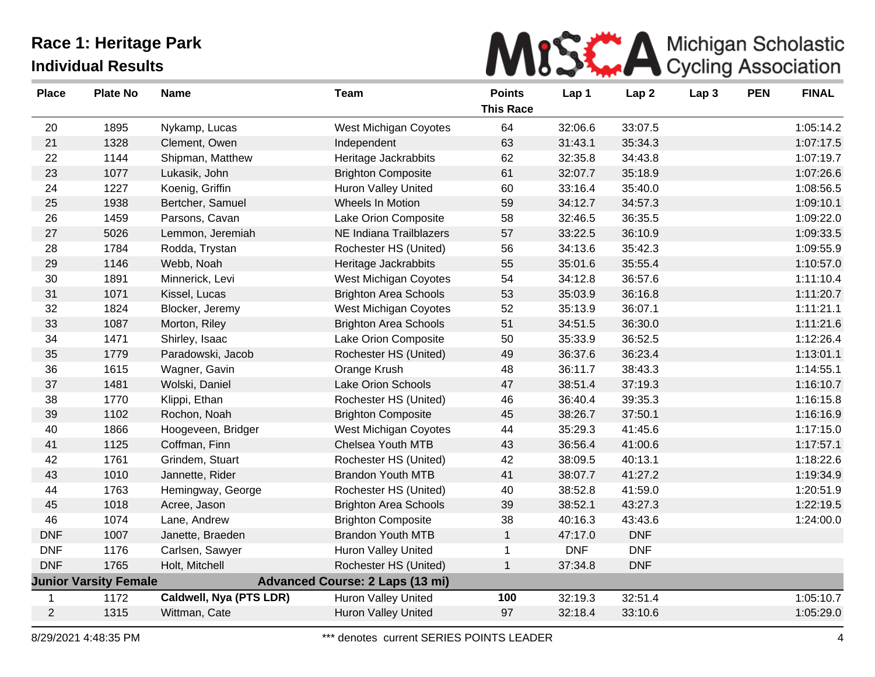

| <b>Place</b>   | <b>Plate No</b>              | <b>Name</b>             | <b>Team</b>                            | <b>Points</b>    | Lap 1      | Lap <sub>2</sub> | Lap <sub>3</sub> | <b>PEN</b> | <b>FINAL</b> |
|----------------|------------------------------|-------------------------|----------------------------------------|------------------|------------|------------------|------------------|------------|--------------|
|                |                              |                         |                                        | <b>This Race</b> |            |                  |                  |            |              |
| 20             | 1895                         | Nykamp, Lucas           | West Michigan Coyotes                  | 64               | 32:06.6    | 33:07.5          |                  |            | 1:05:14.2    |
| 21             | 1328                         | Clement, Owen           | Independent                            | 63               | 31:43.1    | 35:34.3          |                  |            | 1:07:17.5    |
| 22             | 1144                         | Shipman, Matthew        | Heritage Jackrabbits                   | 62               | 32:35.8    | 34:43.8          |                  |            | 1:07:19.7    |
| 23             | 1077                         | Lukasik, John           | <b>Brighton Composite</b>              | 61               | 32:07.7    | 35:18.9          |                  |            | 1:07:26.6    |
| 24             | 1227                         | Koenig, Griffin         | <b>Huron Valley United</b>             | 60               | 33:16.4    | 35:40.0          |                  |            | 1:08:56.5    |
| 25             | 1938                         | Bertcher, Samuel        | Wheels In Motion                       | 59               | 34:12.7    | 34:57.3          |                  |            | 1:09:10.1    |
| 26             | 1459                         | Parsons, Cavan          | Lake Orion Composite                   | 58               | 32:46.5    | 36:35.5          |                  |            | 1:09:22.0    |
| 27             | 5026                         | Lemmon, Jeremiah        | NE Indiana Trailblazers                | 57               | 33:22.5    | 36:10.9          |                  |            | 1:09:33.5    |
| 28             | 1784                         | Rodda, Trystan          | Rochester HS (United)                  | 56               | 34:13.6    | 35:42.3          |                  |            | 1:09:55.9    |
| 29             | 1146                         | Webb, Noah              | Heritage Jackrabbits                   | 55               | 35:01.6    | 35:55.4          |                  |            | 1:10:57.0    |
| 30             | 1891                         | Minnerick, Levi         | West Michigan Coyotes                  | 54               | 34:12.8    | 36:57.6          |                  |            | 1:11:10.4    |
| 31             | 1071                         | Kissel, Lucas           | <b>Brighton Area Schools</b>           | 53               | 35:03.9    | 36:16.8          |                  |            | 1:11:20.7    |
| 32             | 1824                         | Blocker, Jeremy         | West Michigan Coyotes                  | 52               | 35:13.9    | 36:07.1          |                  |            | 1:11:21.1    |
| 33             | 1087                         | Morton, Riley           | <b>Brighton Area Schools</b>           | 51               | 34:51.5    | 36:30.0          |                  |            | 1:11:21.6    |
| 34             | 1471                         | Shirley, Isaac          | Lake Orion Composite                   | 50               | 35:33.9    | 36:52.5          |                  |            | 1:12:26.4    |
| 35             | 1779                         | Paradowski, Jacob       | Rochester HS (United)                  | 49               | 36:37.6    | 36:23.4          |                  |            | 1:13:01.1    |
| 36             | 1615                         | Wagner, Gavin           | Orange Krush                           | 48               | 36:11.7    | 38:43.3          |                  |            | 1:14:55.1    |
| 37             | 1481                         | Wolski, Daniel          | Lake Orion Schools                     | 47               | 38:51.4    | 37:19.3          |                  |            | 1:16:10.7    |
| 38             | 1770                         | Klippi, Ethan           | Rochester HS (United)                  | 46               | 36:40.4    | 39:35.3          |                  |            | 1:16:15.8    |
| 39             | 1102                         | Rochon, Noah            | <b>Brighton Composite</b>              | 45               | 38:26.7    | 37:50.1          |                  |            | 1:16:16.9    |
| 40             | 1866                         | Hoogeveen, Bridger      | West Michigan Coyotes                  | 44               | 35:29.3    | 41:45.6          |                  |            | 1:17:15.0    |
| 41             | 1125                         | Coffman, Finn           | Chelsea Youth MTB                      | 43               | 36:56.4    | 41:00.6          |                  |            | 1:17:57.1    |
| 42             | 1761                         | Grindem, Stuart         | Rochester HS (United)                  | 42               | 38:09.5    | 40:13.1          |                  |            | 1:18:22.6    |
| 43             | 1010                         | Jannette, Rider         | <b>Brandon Youth MTB</b>               | 41               | 38:07.7    | 41:27.2          |                  |            | 1:19:34.9    |
| 44             | 1763                         | Hemingway, George       | Rochester HS (United)                  | 40               | 38:52.8    | 41:59.0          |                  |            | 1:20:51.9    |
| 45             | 1018                         | Acree, Jason            | <b>Brighton Area Schools</b>           | 39               | 38:52.1    | 43:27.3          |                  |            | 1:22:19.5    |
| 46             | 1074                         | Lane, Andrew            | <b>Brighton Composite</b>              | 38               | 40:16.3    | 43:43.6          |                  |            | 1:24:00.0    |
| <b>DNF</b>     | 1007                         | Janette, Braeden        | <b>Brandon Youth MTB</b>               | $\mathbf{1}$     | 47:17.0    | <b>DNF</b>       |                  |            |              |
| <b>DNF</b>     | 1176                         | Carlsen, Sawyer         | <b>Huron Valley United</b>             | $\mathbf 1$      | <b>DNF</b> | <b>DNF</b>       |                  |            |              |
| <b>DNF</b>     | 1765                         | Holt, Mitchell          | Rochester HS (United)                  | $\mathbf{1}$     | 37:34.8    | <b>DNF</b>       |                  |            |              |
|                | <b>Junior Varsity Female</b> |                         | <b>Advanced Course: 2 Laps (13 mi)</b> |                  |            |                  |                  |            |              |
| $\mathbf 1$    | 1172                         | Caldwell, Nya (PTS LDR) | Huron Valley United                    | 100              | 32:19.3    | 32:51.4          |                  |            | 1:05:10.7    |
| $\overline{2}$ | 1315                         | Wittman, Cate           | <b>Huron Valley United</b>             | 97               | 32:18.4    | 33:10.6          |                  |            | 1:05:29.0    |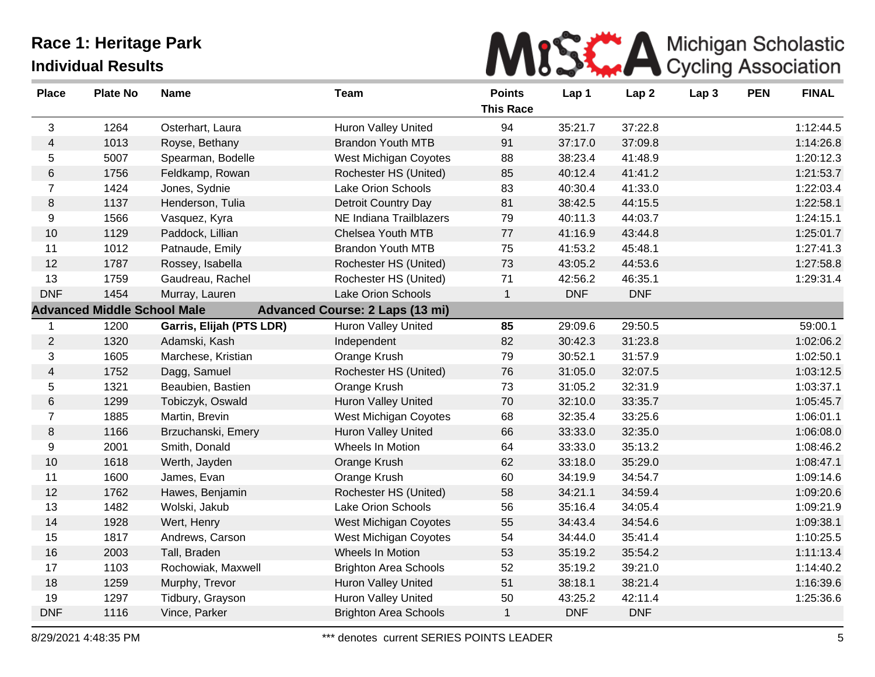

| <b>Place</b>   | <b>Plate No</b>                    | <b>Name</b>              | <b>Team</b>                            | <b>Points</b>    | Lap 1      | Lap <sub>2</sub> | Lap <sub>3</sub> | <b>PEN</b> | <b>FINAL</b> |
|----------------|------------------------------------|--------------------------|----------------------------------------|------------------|------------|------------------|------------------|------------|--------------|
|                |                                    |                          |                                        | <b>This Race</b> |            |                  |                  |            |              |
| 3              | 1264                               | Osterhart, Laura         | <b>Huron Valley United</b>             | 94               | 35:21.7    | 37:22.8          |                  |            | 1:12:44.5    |
| $\overline{4}$ | 1013                               | Royse, Bethany           | <b>Brandon Youth MTB</b>               | 91               | 37:17.0    | 37:09.8          |                  |            | 1:14:26.8    |
| 5              | 5007                               | Spearman, Bodelle        | West Michigan Coyotes                  | 88               | 38:23.4    | 41:48.9          |                  |            | 1:20:12.3    |
| $\,6$          | 1756                               | Feldkamp, Rowan          | Rochester HS (United)                  | 85               | 40:12.4    | 41:41.2          |                  |            | 1:21:53.7    |
| $\overline{7}$ | 1424                               | Jones, Sydnie            | <b>Lake Orion Schools</b>              | 83               | 40:30.4    | 41:33.0          |                  |            | 1:22:03.4    |
| 8              | 1137                               | Henderson, Tulia         | <b>Detroit Country Day</b>             | 81               | 38:42.5    | 44:15.5          |                  |            | 1:22:58.1    |
| 9              | 1566                               | Vasquez, Kyra            | NE Indiana Trailblazers                | 79               | 40:11.3    | 44:03.7          |                  |            | 1:24:15.1    |
| 10             | 1129                               | Paddock, Lillian         | Chelsea Youth MTB                      | 77               | 41:16.9    | 43:44.8          |                  |            | 1:25:01.7    |
| 11             | 1012                               | Patnaude, Emily          | <b>Brandon Youth MTB</b>               | 75               | 41:53.2    | 45:48.1          |                  |            | 1:27:41.3    |
| 12             | 1787                               | Rossey, Isabella         | Rochester HS (United)                  | 73               | 43:05.2    | 44:53.6          |                  |            | 1:27:58.8    |
| 13             | 1759                               | Gaudreau, Rachel         | Rochester HS (United)                  | 71               | 42:56.2    | 46:35.1          |                  |            | 1:29:31.4    |
| <b>DNF</b>     | 1454                               | Murray, Lauren           | Lake Orion Schools                     | $\mathbf{1}$     | <b>DNF</b> | <b>DNF</b>       |                  |            |              |
|                | <b>Advanced Middle School Male</b> |                          | <b>Advanced Course: 2 Laps (13 mi)</b> |                  |            |                  |                  |            |              |
| 1              | 1200                               | Garris, Elijah (PTS LDR) | Huron Valley United                    | 85               | 29:09.6    | 29:50.5          |                  |            | 59:00.1      |
| $\overline{2}$ | 1320                               | Adamski, Kash            | Independent                            | 82               | 30:42.3    | 31:23.8          |                  |            | 1:02:06.2    |
| 3              | 1605                               | Marchese, Kristian       | Orange Krush                           | 79               | 30:52.1    | 31:57.9          |                  |            | 1:02:50.1    |
| 4              | 1752                               | Dagg, Samuel             | Rochester HS (United)                  | 76               | 31:05.0    | 32:07.5          |                  |            | 1:03:12.5    |
| 5              | 1321                               | Beaubien, Bastien        | Orange Krush                           | 73               | 31:05.2    | 32:31.9          |                  |            | 1:03:37.1    |
| $\,6$          | 1299                               | Tobiczyk, Oswald         | Huron Valley United                    | 70               | 32:10.0    | 33:35.7          |                  |            | 1:05:45.7    |
| $\overline{7}$ | 1885                               | Martin, Brevin           | West Michigan Coyotes                  | 68               | 32:35.4    | 33:25.6          |                  |            | 1:06:01.1    |
| 8              | 1166                               | Brzuchanski, Emery       | <b>Huron Valley United</b>             | 66               | 33:33.0    | 32:35.0          |                  |            | 1:06:08.0    |
| 9              | 2001                               | Smith, Donald            | Wheels In Motion                       | 64               | 33:33.0    | 35:13.2          |                  |            | 1:08:46.2    |
| 10             | 1618                               | Werth, Jayden            | Orange Krush                           | 62               | 33:18.0    | 35:29.0          |                  |            | 1:08:47.1    |
| 11             | 1600                               | James, Evan              | Orange Krush                           | 60               | 34:19.9    | 34:54.7          |                  |            | 1:09:14.6    |
| 12             | 1762                               | Hawes, Benjamin          | Rochester HS (United)                  | 58               | 34:21.1    | 34:59.4          |                  |            | 1:09:20.6    |
| 13             | 1482                               | Wolski, Jakub            | Lake Orion Schools                     | 56               | 35:16.4    | 34:05.4          |                  |            | 1:09:21.9    |
| 14             | 1928                               | Wert, Henry              | West Michigan Coyotes                  | 55               | 34:43.4    | 34:54.6          |                  |            | 1:09:38.1    |
| 15             | 1817                               | Andrews, Carson          | West Michigan Coyotes                  | 54               | 34:44.0    | 35:41.4          |                  |            | 1:10:25.5    |
| 16             | 2003                               | Tall, Braden             | Wheels In Motion                       | 53               | 35:19.2    | 35:54.2          |                  |            | 1:11:13.4    |
| 17             | 1103                               | Rochowiak, Maxwell       | <b>Brighton Area Schools</b>           | 52               | 35:19.2    | 39:21.0          |                  |            | 1:14:40.2    |
| 18             | 1259                               | Murphy, Trevor           | Huron Valley United                    | 51               | 38:18.1    | 38:21.4          |                  |            | 1:16:39.6    |
| 19             | 1297                               | Tidbury, Grayson         | <b>Huron Valley United</b>             | 50               | 43:25.2    | 42:11.4          |                  |            | 1:25:36.6    |
| <b>DNF</b>     | 1116                               | Vince, Parker            | <b>Brighton Area Schools</b>           | $\mathbf{1}$     | <b>DNF</b> | <b>DNF</b>       |                  |            |              |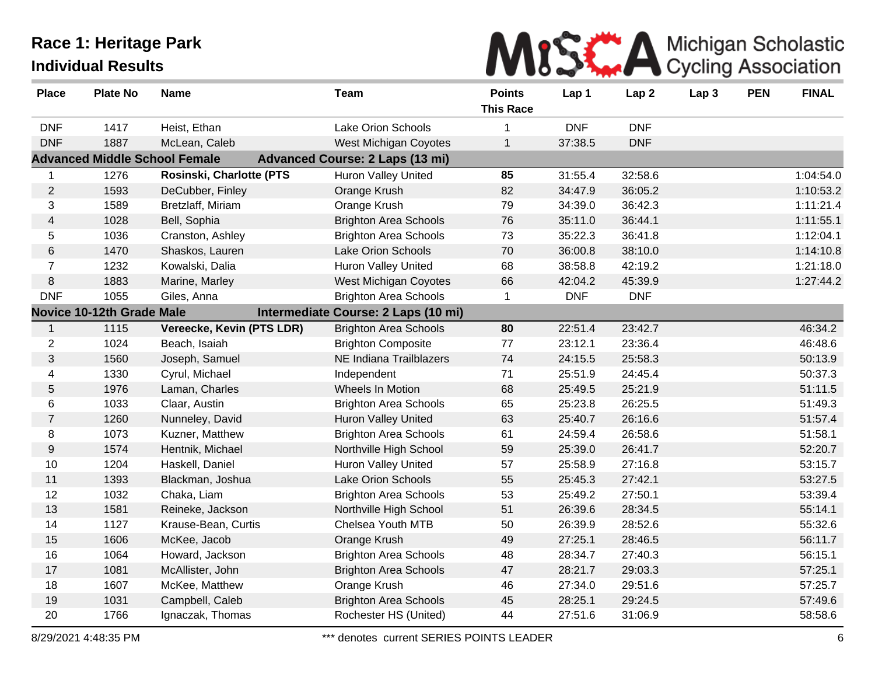

| <b>Place</b>   | <b>Plate No</b>           | <b>Name</b>                          | Team                                   | <b>Points</b><br><b>This Race</b> | Lap 1      | Lap <sub>2</sub> | Lap <sub>3</sub> | <b>PEN</b> | <b>FINAL</b> |
|----------------|---------------------------|--------------------------------------|----------------------------------------|-----------------------------------|------------|------------------|------------------|------------|--------------|
| <b>DNF</b>     | 1417                      | Heist, Ethan                         | <b>Lake Orion Schools</b>              | 1                                 | <b>DNF</b> | <b>DNF</b>       |                  |            |              |
| <b>DNF</b>     | 1887                      | McLean, Caleb                        | <b>West Michigan Coyotes</b>           | $\mathbf{1}$                      | 37:38.5    | <b>DNF</b>       |                  |            |              |
|                |                           | <b>Advanced Middle School Female</b> | <b>Advanced Course: 2 Laps (13 mi)</b> |                                   |            |                  |                  |            |              |
| $\mathbf{1}$   | 1276                      | Rosinski, Charlotte (PTS             | <b>Huron Valley United</b>             | 85                                | 31:55.4    | 32:58.6          |                  |            | 1:04:54.0    |
| $\overline{2}$ | 1593                      | DeCubber, Finley                     | Orange Krush                           | 82                                | 34:47.9    | 36:05.2          |                  |            | 1:10:53.2    |
| 3              | 1589                      | Bretzlaff, Miriam                    | Orange Krush                           | 79                                | 34:39.0    | 36:42.3          |                  |            | 1:11:21.4    |
| $\overline{4}$ | 1028                      | Bell, Sophia                         | <b>Brighton Area Schools</b>           | 76                                | 35:11.0    | 36:44.1          |                  |            | 1:11:55.1    |
| 5              | 1036                      | Cranston, Ashley                     | <b>Brighton Area Schools</b>           | 73                                | 35:22.3    | 36:41.8          |                  |            | 1:12:04.1    |
| 6              | 1470                      | Shaskos, Lauren                      | <b>Lake Orion Schools</b>              | 70                                | 36:00.8    | 38:10.0          |                  |            | 1:14:10.8    |
| $\overline{7}$ | 1232                      | Kowalski, Dalia                      | <b>Huron Valley United</b>             | 68                                | 38:58.8    | 42:19.2          |                  |            | 1:21:18.0    |
| $\,8\,$        | 1883                      | Marine, Marley                       | West Michigan Coyotes                  | 66                                | 42:04.2    | 45:39.9          |                  |            | 1:27:44.2    |
| <b>DNF</b>     | 1055                      | Giles, Anna                          | <b>Brighton Area Schools</b>           | $\mathbf 1$                       | <b>DNF</b> | <b>DNF</b>       |                  |            |              |
|                | Novice 10-12th Grade Male |                                      | Intermediate Course: 2 Laps (10 mi)    |                                   |            |                  |                  |            |              |
| $\mathbf{1}$   | 1115                      | Vereecke, Kevin (PTS LDR)            | <b>Brighton Area Schools</b>           | 80                                | 22:51.4    | 23:42.7          |                  |            | 46:34.2      |
| $\overline{2}$ | 1024                      | Beach, Isaiah                        | <b>Brighton Composite</b>              | 77                                | 23:12.1    | 23:36.4          |                  |            | 46:48.6      |
| $\mathfrak{S}$ | 1560                      | Joseph, Samuel                       | NE Indiana Trailblazers                | 74                                | 24:15.5    | 25:58.3          |                  |            | 50:13.9      |
| 4              | 1330                      | Cyrul, Michael                       | Independent                            | 71                                | 25:51.9    | 24:45.4          |                  |            | 50:37.3      |
| 5              | 1976                      | Laman, Charles                       | Wheels In Motion                       | 68                                | 25:49.5    | 25:21.9          |                  |            | 51:11.5      |
| 6              | 1033                      | Claar, Austin                        | <b>Brighton Area Schools</b>           | 65                                | 25:23.8    | 26:25.5          |                  |            | 51:49.3      |
| $\overline{7}$ | 1260                      | Nunneley, David                      | <b>Huron Valley United</b>             | 63                                | 25:40.7    | 26:16.6          |                  |            | 51:57.4      |
| 8              | 1073                      | Kuzner, Matthew                      | <b>Brighton Area Schools</b>           | 61                                | 24:59.4    | 26:58.6          |                  |            | 51:58.1      |
| 9              | 1574                      | Hentnik, Michael                     | Northville High School                 | 59                                | 25:39.0    | 26:41.7          |                  |            | 52:20.7      |
| 10             | 1204                      | Haskell, Daniel                      | Huron Valley United                    | 57                                | 25:58.9    | 27:16.8          |                  |            | 53:15.7      |
| 11             | 1393                      | Blackman, Joshua                     | <b>Lake Orion Schools</b>              | 55                                | 25:45.3    | 27:42.1          |                  |            | 53:27.5      |
| 12             | 1032                      | Chaka, Liam                          | <b>Brighton Area Schools</b>           | 53                                | 25:49.2    | 27:50.1          |                  |            | 53:39.4      |
| 13             | 1581                      | Reineke, Jackson                     | Northville High School                 | 51                                | 26:39.6    | 28:34.5          |                  |            | 55:14.1      |
| 14             | 1127                      | Krause-Bean, Curtis                  | Chelsea Youth MTB                      | 50                                | 26:39.9    | 28:52.6          |                  |            | 55:32.6      |
| 15             | 1606                      | McKee, Jacob                         | Orange Krush                           | 49                                | 27:25.1    | 28:46.5          |                  |            | 56:11.7      |
| 16             | 1064                      | Howard, Jackson                      | <b>Brighton Area Schools</b>           | 48                                | 28:34.7    | 27:40.3          |                  |            | 56:15.1      |
| 17             | 1081                      | McAllister, John                     | <b>Brighton Area Schools</b>           | 47                                | 28:21.7    | 29:03.3          |                  |            | 57:25.1      |
| 18             | 1607                      | McKee, Matthew                       | Orange Krush                           | 46                                | 27:34.0    | 29:51.6          |                  |            | 57:25.7      |
| 19             | 1031                      | Campbell, Caleb                      | <b>Brighton Area Schools</b>           | 45                                | 28:25.1    | 29:24.5          |                  |            | 57:49.6      |
| 20             | 1766                      | Ignaczak, Thomas                     | Rochester HS (United)                  | 44                                | 27:51.6    | 31:06.9          |                  |            | 58:58.6      |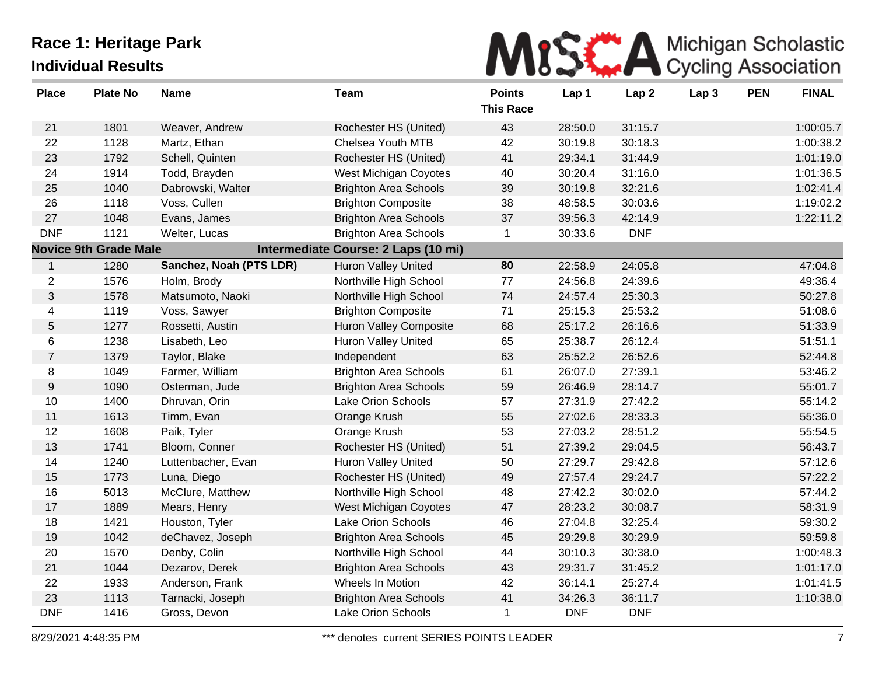

| <b>Place</b>   | <b>Plate No</b>              | <b>Name</b>             | Team                                | <b>Points</b><br><b>This Race</b> | Lap 1      | Lap <sub>2</sub> | Lap <sub>3</sub> | <b>PEN</b> | <b>FINAL</b> |
|----------------|------------------------------|-------------------------|-------------------------------------|-----------------------------------|------------|------------------|------------------|------------|--------------|
| 21             | 1801                         | Weaver, Andrew          | Rochester HS (United)               | 43                                | 28:50.0    | 31:15.7          |                  |            | 1:00:05.7    |
| 22             | 1128                         | Martz, Ethan            | Chelsea Youth MTB                   | 42                                | 30:19.8    | 30:18.3          |                  |            | 1:00:38.2    |
| 23             | 1792                         | Schell, Quinten         | Rochester HS (United)               | 41                                | 29:34.1    | 31:44.9          |                  |            | 1:01:19.0    |
| 24             | 1914                         | Todd, Brayden           | West Michigan Coyotes               | 40                                | 30:20.4    | 31:16.0          |                  |            | 1:01:36.5    |
| 25             | 1040                         | Dabrowski, Walter       | <b>Brighton Area Schools</b>        | 39                                | 30:19.8    | 32:21.6          |                  |            | 1:02:41.4    |
| 26             | 1118                         | Voss, Cullen            | <b>Brighton Composite</b>           | 38                                | 48:58.5    | 30:03.6          |                  |            | 1:19:02.2    |
| 27             | 1048                         | Evans, James            | <b>Brighton Area Schools</b>        | 37                                | 39:56.3    | 42:14.9          |                  |            | 1:22:11.2    |
| <b>DNF</b>     | 1121                         | Welter, Lucas           | <b>Brighton Area Schools</b>        | $\mathbf{1}$                      | 30:33.6    | <b>DNF</b>       |                  |            |              |
|                | <b>Novice 9th Grade Male</b> |                         | Intermediate Course: 2 Laps (10 mi) |                                   |            |                  |                  |            |              |
| $\mathbf{1}$   | 1280                         | Sanchez, Noah (PTS LDR) | <b>Huron Valley United</b>          | 80                                | 22:58.9    | 24:05.8          |                  |            | 47:04.8      |
| $\overline{c}$ | 1576                         | Holm, Brody             | Northville High School              | 77                                | 24:56.8    | 24:39.6          |                  |            | 49:36.4      |
| 3              | 1578                         | Matsumoto, Naoki        | Northville High School              | 74                                | 24:57.4    | 25:30.3          |                  |            | 50:27.8      |
| 4              | 1119                         | Voss, Sawyer            | <b>Brighton Composite</b>           | 71                                | 25:15.3    | 25:53.2          |                  |            | 51:08.6      |
| 5              | 1277                         | Rossetti, Austin        | <b>Huron Valley Composite</b>       | 68                                | 25:17.2    | 26:16.6          |                  |            | 51:33.9      |
| 6              | 1238                         | Lisabeth, Leo           | Huron Valley United                 | 65                                | 25:38.7    | 26:12.4          |                  |            | 51:51.1      |
| $\overline{7}$ | 1379                         | Taylor, Blake           | Independent                         | 63                                | 25:52.2    | 26:52.6          |                  |            | 52:44.8      |
| 8              | 1049                         | Farmer, William         | <b>Brighton Area Schools</b>        | 61                                | 26:07.0    | 27:39.1          |                  |            | 53:46.2      |
| 9              | 1090                         | Osterman, Jude          | <b>Brighton Area Schools</b>        | 59                                | 26:46.9    | 28:14.7          |                  |            | 55:01.7      |
| $10$           | 1400                         | Dhruvan, Orin           | Lake Orion Schools                  | 57                                | 27:31.9    | 27:42.2          |                  |            | 55:14.2      |
| 11             | 1613                         | Timm, Evan              | Orange Krush                        | 55                                | 27:02.6    | 28:33.3          |                  |            | 55:36.0      |
| 12             | 1608                         | Paik, Tyler             | Orange Krush                        | 53                                | 27:03.2    | 28:51.2          |                  |            | 55:54.5      |
| 13             | 1741                         | Bloom, Conner           | Rochester HS (United)               | 51                                | 27:39.2    | 29:04.5          |                  |            | 56:43.7      |
| 14             | 1240                         | Luttenbacher, Evan      | Huron Valley United                 | 50                                | 27:29.7    | 29:42.8          |                  |            | 57:12.6      |
| 15             | 1773                         | Luna, Diego             | Rochester HS (United)               | 49                                | 27:57.4    | 29:24.7          |                  |            | 57:22.2      |
| 16             | 5013                         | McClure, Matthew        | Northville High School              | 48                                | 27:42.2    | 30:02.0          |                  |            | 57:44.2      |
| 17             | 1889                         | Mears, Henry            | West Michigan Coyotes               | 47                                | 28:23.2    | 30:08.7          |                  |            | 58:31.9      |
| 18             | 1421                         | Houston, Tyler          | Lake Orion Schools                  | 46                                | 27:04.8    | 32:25.4          |                  |            | 59:30.2      |
| 19             | 1042                         | deChavez, Joseph        | <b>Brighton Area Schools</b>        | 45                                | 29:29.8    | 30:29.9          |                  |            | 59:59.8      |
| 20             | 1570                         | Denby, Colin            | Northville High School              | 44                                | 30:10.3    | 30:38.0          |                  |            | 1:00:48.3    |
| 21             | 1044                         | Dezarov, Derek          | <b>Brighton Area Schools</b>        | 43                                | 29:31.7    | 31:45.2          |                  |            | 1:01:17.0    |
| 22             | 1933                         | Anderson, Frank         | Wheels In Motion                    | 42                                | 36:14.1    | 25:27.4          |                  |            | 1:01:41.5    |
| 23             | 1113                         | Tarnacki, Joseph        | <b>Brighton Area Schools</b>        | 41                                | 34:26.3    | 36:11.7          |                  |            | 1:10:38.0    |
| <b>DNF</b>     | 1416                         | Gross, Devon            | <b>Lake Orion Schools</b>           | $\mathbf 1$                       | <b>DNF</b> | <b>DNF</b>       |                  |            |              |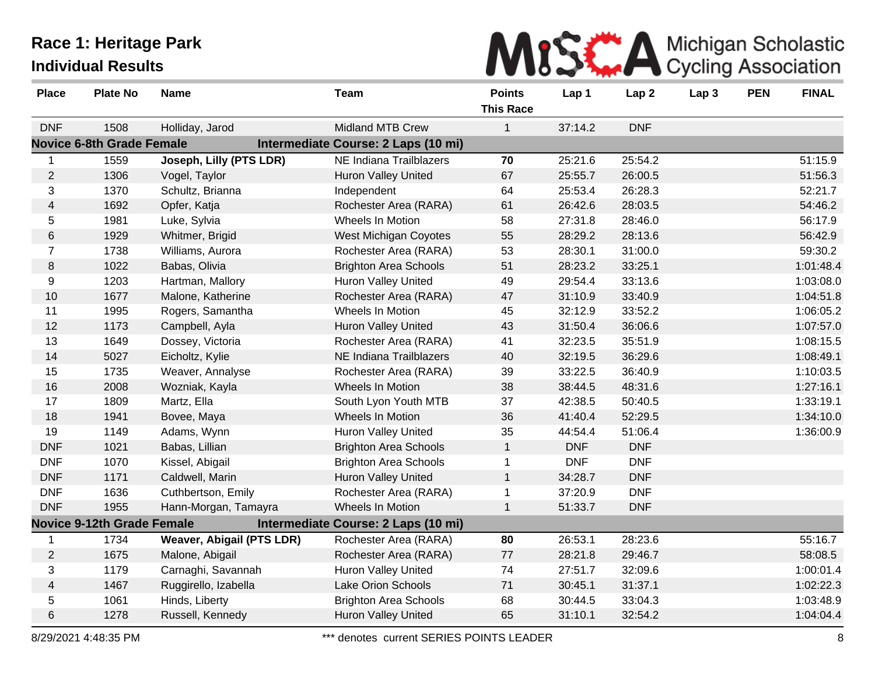

| <b>Place</b>   | <b>Plate No</b>                   | <b>Name</b>               | <b>Team</b>                         | <b>Points</b><br><b>This Race</b> | Lap 1      | Lap <sub>2</sub> | Lap <sub>3</sub> | <b>PEN</b> | <b>FINAL</b> |
|----------------|-----------------------------------|---------------------------|-------------------------------------|-----------------------------------|------------|------------------|------------------|------------|--------------|
| <b>DNF</b>     | 1508                              | Holliday, Jarod           | <b>Midland MTB Crew</b>             | 1                                 | 37:14.2    | <b>DNF</b>       |                  |            |              |
|                | <b>Novice 6-8th Grade Female</b>  |                           | Intermediate Course: 2 Laps (10 mi) |                                   |            |                  |                  |            |              |
| 1              | 1559                              | Joseph, Lilly (PTS LDR)   | NE Indiana Trailblazers             | 70                                | 25:21.6    | 25:54.2          |                  |            | 51:15.9      |
| $\overline{2}$ | 1306                              | Vogel, Taylor             | <b>Huron Valley United</b>          | 67                                | 25:55.7    | 26:00.5          |                  |            | 51:56.3      |
| 3              | 1370                              | Schultz, Brianna          | Independent                         | 64                                | 25:53.4    | 26:28.3          |                  |            | 52:21.7      |
| $\overline{4}$ | 1692                              | Opfer, Katja              | Rochester Area (RARA)               | 61                                | 26:42.6    | 28:03.5          |                  |            | 54:46.2      |
| 5              | 1981                              | Luke, Sylvia              | Wheels In Motion                    | 58                                | 27:31.8    | 28:46.0          |                  |            | 56:17.9      |
| 6              | 1929                              | Whitmer, Brigid           | West Michigan Coyotes               | 55                                | 28:29.2    | 28:13.6          |                  |            | 56:42.9      |
| $\overline{7}$ | 1738                              | Williams, Aurora          | Rochester Area (RARA)               | 53                                | 28:30.1    | 31:00.0          |                  |            | 59:30.2      |
| $\bf 8$        | 1022                              | Babas, Olivia             | <b>Brighton Area Schools</b>        | 51                                | 28:23.2    | 33:25.1          |                  |            | 1:01:48.4    |
| 9              | 1203                              | Hartman, Mallory          | <b>Huron Valley United</b>          | 49                                | 29:54.4    | 33:13.6          |                  |            | 1:03:08.0    |
| 10             | 1677                              | Malone, Katherine         | Rochester Area (RARA)               | 47                                | 31:10.9    | 33:40.9          |                  |            | 1:04:51.8    |
| 11             | 1995                              | Rogers, Samantha          | Wheels In Motion                    | 45                                | 32:12.9    | 33:52.2          |                  |            | 1:06:05.2    |
| 12             | 1173                              | Campbell, Ayla            | <b>Huron Valley United</b>          | 43                                | 31:50.4    | 36:06.6          |                  |            | 1:07:57.0    |
| 13             | 1649                              | Dossey, Victoria          | Rochester Area (RARA)               | 41                                | 32:23.5    | 35:51.9          |                  |            | 1:08:15.5    |
| 14             | 5027                              | Eicholtz, Kylie           | NE Indiana Trailblazers             | 40                                | 32:19.5    | 36:29.6          |                  |            | 1:08:49.1    |
| 15             | 1735                              | Weaver, Annalyse          | Rochester Area (RARA)               | 39                                | 33:22.5    | 36:40.9          |                  |            | 1:10:03.5    |
| 16             | 2008                              | Wozniak, Kayla            | Wheels In Motion                    | 38                                | 38:44.5    | 48:31.6          |                  |            | 1:27:16.1    |
| 17             | 1809                              | Martz, Ella               | South Lyon Youth MTB                | 37                                | 42:38.5    | 50:40.5          |                  |            | 1:33:19.1    |
| 18             | 1941                              | Bovee, Maya               | Wheels In Motion                    | 36                                | 41:40.4    | 52:29.5          |                  |            | 1:34:10.0    |
| 19             | 1149                              | Adams, Wynn               | <b>Huron Valley United</b>          | 35                                | 44:54.4    | 51:06.4          |                  |            | 1:36:00.9    |
| <b>DNF</b>     | 1021                              | Babas, Lillian            | <b>Brighton Area Schools</b>        | $\mathbf{1}$                      | <b>DNF</b> | <b>DNF</b>       |                  |            |              |
| <b>DNF</b>     | 1070                              | Kissel, Abigail           | <b>Brighton Area Schools</b>        | 1                                 | <b>DNF</b> | <b>DNF</b>       |                  |            |              |
| <b>DNF</b>     | 1171                              | Caldwell, Marin           | Huron Valley United                 | $\mathbf 1$                       | 34:28.7    | <b>DNF</b>       |                  |            |              |
| <b>DNF</b>     | 1636                              | Cuthbertson, Emily        | Rochester Area (RARA)               | 1                                 | 37:20.9    | <b>DNF</b>       |                  |            |              |
| <b>DNF</b>     | 1955                              | Hann-Morgan, Tamayra      | Wheels In Motion                    | $\mathbf 1$                       | 51:33.7    | <b>DNF</b>       |                  |            |              |
|                | <b>Novice 9-12th Grade Female</b> |                           | Intermediate Course: 2 Laps (10 mi) |                                   |            |                  |                  |            |              |
|                | 1734                              | Weaver, Abigail (PTS LDR) | Rochester Area (RARA)               | 80                                | 26:53.1    | 28:23.6          |                  |            | 55:16.7      |
| $\mathbf{2}$   | 1675                              | Malone, Abigail           | Rochester Area (RARA)               | 77                                | 28:21.8    | 29:46.7          |                  |            | 58:08.5      |
| 3              | 1179                              | Carnaghi, Savannah        | <b>Huron Valley United</b>          | 74                                | 27:51.7    | 32:09.6          |                  |            | 1:00:01.4    |
| $\overline{4}$ | 1467                              | Ruggirello, Izabella      | Lake Orion Schools                  | 71                                | 30:45.1    | 31:37.1          |                  |            | 1:02:22.3    |
| 5              | 1061                              | Hinds, Liberty            | <b>Brighton Area Schools</b>        | 68                                | 30:44.5    | 33:04.3          |                  |            | 1:03:48.9    |
| 6              | 1278                              | Russell, Kennedy          | <b>Huron Valley United</b>          | 65                                | 31:10.1    | 32:54.2          |                  |            | 1:04:04.4    |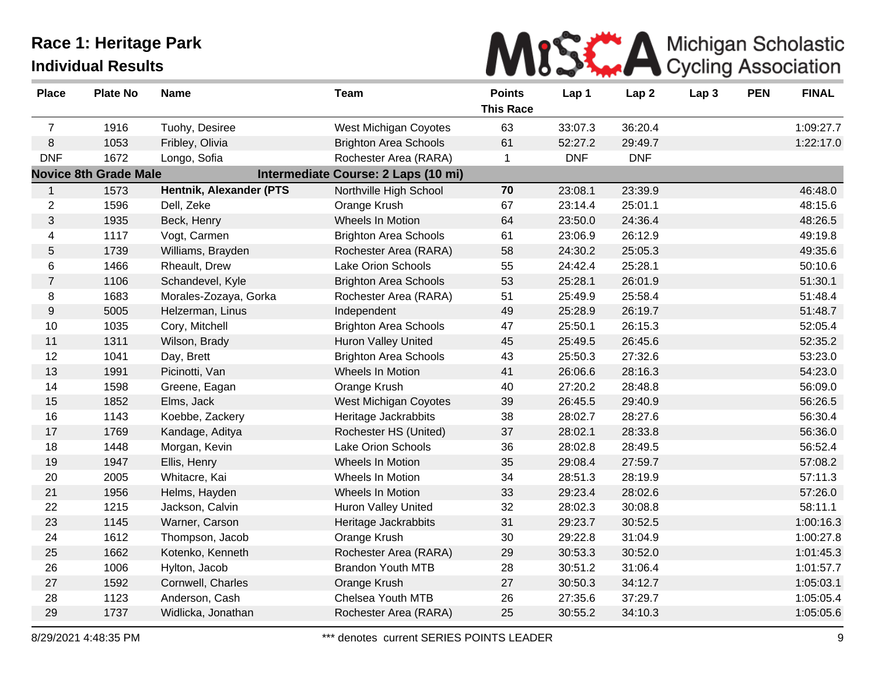# MISWA Michigan Scholastic

| <b>Place</b>   | <b>Plate No</b>              | <b>Name</b>             | <b>Team</b>                         | <b>Points</b>    | Lap 1      | Lap <sub>2</sub> | Lap <sub>3</sub> | <b>PEN</b> | <b>FINAL</b> |
|----------------|------------------------------|-------------------------|-------------------------------------|------------------|------------|------------------|------------------|------------|--------------|
|                |                              |                         |                                     | <b>This Race</b> |            |                  |                  |            |              |
| $\overline{7}$ | 1916                         | Tuohy, Desiree          | West Michigan Coyotes               | 63               | 33:07.3    | 36:20.4          |                  |            | 1:09:27.7    |
| $\,8\,$        | 1053                         | Fribley, Olivia         | <b>Brighton Area Schools</b>        | 61               | 52:27.2    | 29:49.7          |                  |            | 1:22:17.0    |
| <b>DNF</b>     | 1672                         | Longo, Sofia            | Rochester Area (RARA)               | $\mathbf{1}$     | <b>DNF</b> | <b>DNF</b>       |                  |            |              |
|                | <b>Novice 8th Grade Male</b> |                         | Intermediate Course: 2 Laps (10 mi) |                  |            |                  |                  |            |              |
| $\mathbf{1}$   | 1573                         | Hentnik, Alexander (PTS | Northville High School              | 70               | 23:08.1    | 23:39.9          |                  |            | 46:48.0      |
| $\overline{2}$ | 1596                         | Dell, Zeke              | Orange Krush                        | 67               | 23:14.4    | 25:01.1          |                  |            | 48:15.6      |
| $\sqrt{3}$     | 1935                         | Beck, Henry             | Wheels In Motion                    | 64               | 23:50.0    | 24:36.4          |                  |            | 48:26.5      |
| 4              | 1117                         | Vogt, Carmen            | <b>Brighton Area Schools</b>        | 61               | 23:06.9    | 26:12.9          |                  |            | 49:19.8      |
| $5\,$          | 1739                         | Williams, Brayden       | Rochester Area (RARA)               | 58               | 24:30.2    | 25:05.3          |                  |            | 49:35.6      |
| 6              | 1466                         | Rheault, Drew           | Lake Orion Schools                  | 55               | 24:42.4    | 25:28.1          |                  |            | 50:10.6      |
| $\overline{7}$ | 1106                         | Schandevel, Kyle        | <b>Brighton Area Schools</b>        | 53               | 25:28.1    | 26:01.9          |                  |            | 51:30.1      |
| 8              | 1683                         | Morales-Zozaya, Gorka   | Rochester Area (RARA)               | 51               | 25:49.9    | 25:58.4          |                  |            | 51:48.4      |
| $9\,$          | 5005                         | Helzerman, Linus        | Independent                         | 49               | 25:28.9    | 26:19.7          |                  |            | 51:48.7      |
| 10             | 1035                         | Cory, Mitchell          | <b>Brighton Area Schools</b>        | 47               | 25:50.1    | 26:15.3          |                  |            | 52:05.4      |
| 11             | 1311                         | Wilson, Brady           | <b>Huron Valley United</b>          | 45               | 25:49.5    | 26:45.6          |                  |            | 52:35.2      |
| 12             | 1041                         | Day, Brett              | <b>Brighton Area Schools</b>        | 43               | 25:50.3    | 27:32.6          |                  |            | 53:23.0      |
| 13             | 1991                         | Picinotti, Van          | Wheels In Motion                    | 41               | 26:06.6    | 28:16.3          |                  |            | 54:23.0      |
| 14             | 1598                         | Greene, Eagan           | Orange Krush                        | 40               | 27:20.2    | 28:48.8          |                  |            | 56:09.0      |
| 15             | 1852                         | Elms, Jack              | West Michigan Coyotes               | 39               | 26:45.5    | 29:40.9          |                  |            | 56:26.5      |
| 16             | 1143                         | Koebbe, Zackery         | Heritage Jackrabbits                | 38               | 28:02.7    | 28:27.6          |                  |            | 56:30.4      |
| 17             | 1769                         | Kandage, Aditya         | Rochester HS (United)               | 37               | 28:02.1    | 28:33.8          |                  |            | 56:36.0      |
| 18             | 1448                         | Morgan, Kevin           | <b>Lake Orion Schools</b>           | 36               | 28:02.8    | 28:49.5          |                  |            | 56:52.4      |
| 19             | 1947                         | Ellis, Henry            | Wheels In Motion                    | 35               | 29:08.4    | 27:59.7          |                  |            | 57:08.2      |
| 20             | 2005                         | Whitacre, Kai           | Wheels In Motion                    | 34               | 28:51.3    | 28:19.9          |                  |            | 57:11.3      |
| 21             | 1956                         | Helms, Hayden           | Wheels In Motion                    | 33               | 29:23.4    | 28:02.6          |                  |            | 57:26.0      |
| 22             | 1215                         | Jackson, Calvin         | <b>Huron Valley United</b>          | 32               | 28:02.3    | 30:08.8          |                  |            | 58:11.1      |
| 23             | 1145                         | Warner, Carson          | Heritage Jackrabbits                | 31               | 29:23.7    | 30:52.5          |                  |            | 1:00:16.3    |
| 24             | 1612                         | Thompson, Jacob         | Orange Krush                        | 30               | 29:22.8    | 31:04.9          |                  |            | 1:00:27.8    |
| 25             | 1662                         | Kotenko, Kenneth        | Rochester Area (RARA)               | 29               | 30:53.3    | 30:52.0          |                  |            | 1:01:45.3    |
| 26             | 1006                         | Hylton, Jacob           | <b>Brandon Youth MTB</b>            | 28               | 30:51.2    | 31:06.4          |                  |            | 1:01:57.7    |
| 27             | 1592                         | Cornwell, Charles       | Orange Krush                        | 27               | 30:50.3    | 34:12.7          |                  |            | 1:05:03.1    |
| 28             | 1123                         | Anderson, Cash          | Chelsea Youth MTB                   | 26               | 27:35.6    | 37:29.7          |                  |            | 1:05:05.4    |
| 29             | 1737                         | Widlicka, Jonathan      | Rochester Area (RARA)               | 25               | 30:55.2    | 34:10.3          |                  |            | 1:05:05.6    |
|                |                              |                         |                                     |                  |            |                  |                  |            |              |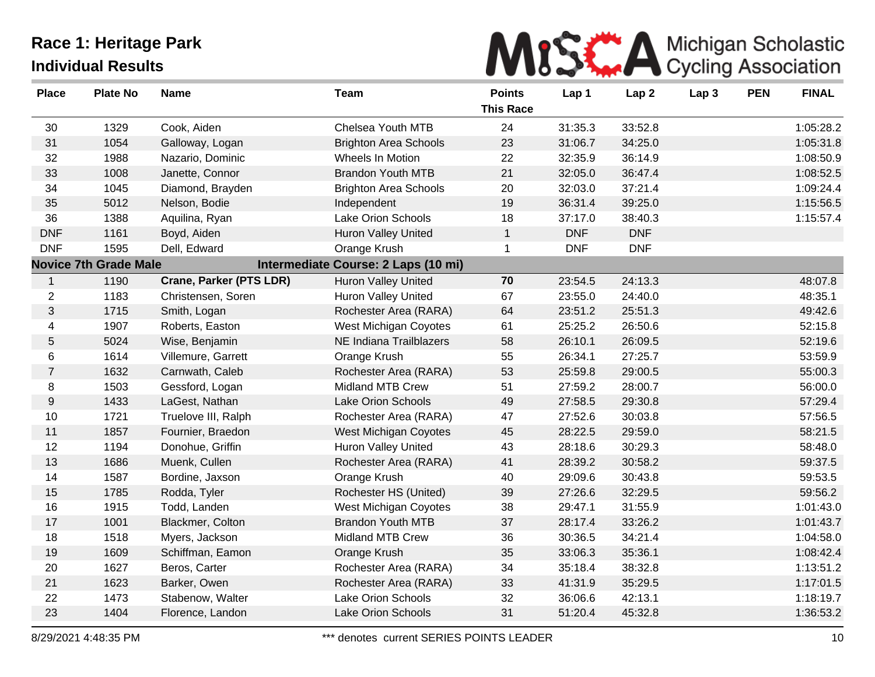

| <b>Place</b>     | <b>Plate No</b>              | <b>Name</b>             | <b>Team</b>                         | <b>Points</b><br><b>This Race</b> | Lap 1      | Lap <sub>2</sub> | Lap <sub>3</sub> | <b>PEN</b> | <b>FINAL</b> |
|------------------|------------------------------|-------------------------|-------------------------------------|-----------------------------------|------------|------------------|------------------|------------|--------------|
| 30               | 1329                         | Cook, Aiden             | <b>Chelsea Youth MTB</b>            | 24                                | 31:35.3    | 33:52.8          |                  |            | 1:05:28.2    |
| 31               | 1054                         | Galloway, Logan         | <b>Brighton Area Schools</b>        | 23                                | 31:06.7    | 34:25.0          |                  |            | 1:05:31.8    |
| 32               | 1988                         | Nazario, Dominic        | Wheels In Motion                    | 22                                | 32:35.9    | 36:14.9          |                  |            | 1:08:50.9    |
| 33               | 1008                         | Janette, Connor         | <b>Brandon Youth MTB</b>            | 21                                | 32:05.0    | 36:47.4          |                  |            | 1:08:52.5    |
| 34               | 1045                         | Diamond, Brayden        | <b>Brighton Area Schools</b>        | 20                                | 32:03.0    | 37:21.4          |                  |            | 1:09:24.4    |
| 35               | 5012                         | Nelson, Bodie           | Independent                         | 19                                | 36:31.4    | 39:25.0          |                  |            | 1:15:56.5    |
| 36               | 1388                         | Aquilina, Ryan          | Lake Orion Schools                  | 18                                | 37:17.0    | 38:40.3          |                  |            | 1:15:57.4    |
| <b>DNF</b>       | 1161                         | Boyd, Aiden             | <b>Huron Valley United</b>          | $\mathbf{1}$                      | <b>DNF</b> | <b>DNF</b>       |                  |            |              |
| <b>DNF</b>       | 1595                         | Dell, Edward            | Orange Krush                        | $\mathbf 1$                       | <b>DNF</b> | <b>DNF</b>       |                  |            |              |
|                  | <b>Novice 7th Grade Male</b> |                         | Intermediate Course: 2 Laps (10 mi) |                                   |            |                  |                  |            |              |
| $\mathbf{1}$     | 1190                         | Crane, Parker (PTS LDR) | <b>Huron Valley United</b>          | 70                                | 23:54.5    | 24:13.3          |                  |            | 48:07.8      |
| $\overline{2}$   | 1183                         | Christensen, Soren      | <b>Huron Valley United</b>          | 67                                | 23:55.0    | 24:40.0          |                  |            | 48:35.1      |
| 3                | 1715                         | Smith, Logan            | Rochester Area (RARA)               | 64                                | 23:51.2    | 25:51.3          |                  |            | 49:42.6      |
| 4                | 1907                         | Roberts, Easton         | West Michigan Coyotes               | 61                                | 25:25.2    | 26:50.6          |                  |            | 52:15.8      |
| $\sqrt{5}$       | 5024                         | Wise, Benjamin          | NE Indiana Trailblazers             | 58                                | 26:10.1    | 26:09.5          |                  |            | 52:19.6      |
| 6                | 1614                         | Villemure, Garrett      | Orange Krush                        | 55                                | 26:34.1    | 27:25.7          |                  |            | 53:59.9      |
| $\overline{7}$   | 1632                         | Carnwath, Caleb         | Rochester Area (RARA)               | 53                                | 25:59.8    | 29:00.5          |                  |            | 55:00.3      |
| 8                | 1503                         | Gessford, Logan         | Midland MTB Crew                    | 51                                | 27:59.2    | 28:00.7          |                  |            | 56:00.0      |
| $\boldsymbol{9}$ | 1433                         | LaGest, Nathan          | Lake Orion Schools                  | 49                                | 27:58.5    | 29:30.8          |                  |            | 57:29.4      |
| 10               | 1721                         | Truelove III, Ralph     | Rochester Area (RARA)               | 47                                | 27:52.6    | 30:03.8          |                  |            | 57:56.5      |
| 11               | 1857                         | Fournier, Braedon       | West Michigan Coyotes               | 45                                | 28:22.5    | 29:59.0          |                  |            | 58:21.5      |
| 12               | 1194                         | Donohue, Griffin        | Huron Valley United                 | 43                                | 28:18.6    | 30:29.3          |                  |            | 58:48.0      |
| 13               | 1686                         | Muenk, Cullen           | Rochester Area (RARA)               | 41                                | 28:39.2    | 30:58.2          |                  |            | 59:37.5      |
| 14               | 1587                         | Bordine, Jaxson         | Orange Krush                        | 40                                | 29:09.6    | 30:43.8          |                  |            | 59:53.5      |
| 15               | 1785                         | Rodda, Tyler            | Rochester HS (United)               | 39                                | 27:26.6    | 32:29.5          |                  |            | 59:56.2      |
| 16               | 1915                         | Todd, Landen            | West Michigan Coyotes               | 38                                | 29:47.1    | 31:55.9          |                  |            | 1:01:43.0    |
| 17               | 1001                         | Blackmer, Colton        | <b>Brandon Youth MTB</b>            | 37                                | 28:17.4    | 33:26.2          |                  |            | 1:01:43.7    |
| 18               | 1518                         | Myers, Jackson          | Midland MTB Crew                    | 36                                | 30:36.5    | 34:21.4          |                  |            | 1:04:58.0    |
| 19               | 1609                         | Schiffman, Eamon        | Orange Krush                        | 35                                | 33:06.3    | 35:36.1          |                  |            | 1:08:42.4    |
| 20               | 1627                         | Beros, Carter           | Rochester Area (RARA)               | 34                                | 35:18.4    | 38:32.8          |                  |            | 1:13:51.2    |
| 21               | 1623                         | Barker, Owen            | Rochester Area (RARA)               | 33                                | 41:31.9    | 35:29.5          |                  |            | 1:17:01.5    |
| 22               | 1473                         | Stabenow, Walter        | Lake Orion Schools                  | 32                                | 36:06.6    | 42:13.1          |                  |            | 1:18:19.7    |
| 23               | 1404                         | Florence, Landon        | Lake Orion Schools                  | 31                                | 51:20.4    | 45:32.8          |                  |            | 1:36:53.2    |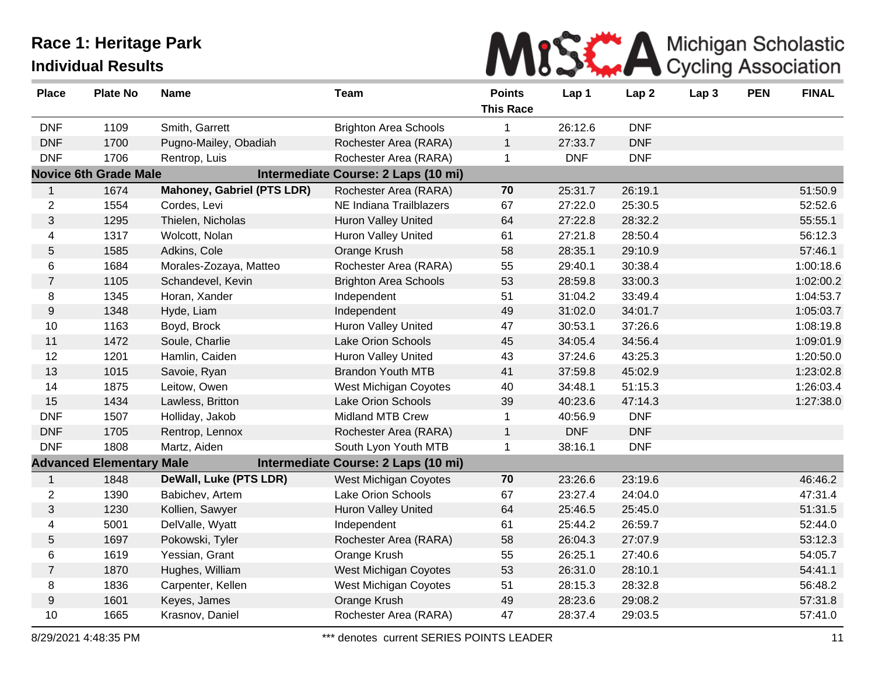

| <b>Place</b>   | <b>Plate No</b>                 | <b>Name</b>                | <b>Team</b>                         | <b>Points</b><br><b>This Race</b> | Lap 1      | Lap <sub>2</sub> | Lap <sub>3</sub> | <b>PEN</b> | <b>FINAL</b> |
|----------------|---------------------------------|----------------------------|-------------------------------------|-----------------------------------|------------|------------------|------------------|------------|--------------|
| <b>DNF</b>     | 1109                            | Smith, Garrett             | <b>Brighton Area Schools</b>        | $\mathbf 1$                       | 26:12.6    | <b>DNF</b>       |                  |            |              |
| <b>DNF</b>     | 1700                            | Pugno-Mailey, Obadiah      | Rochester Area (RARA)               | $\mathbf{1}$                      | 27:33.7    | <b>DNF</b>       |                  |            |              |
| <b>DNF</b>     | 1706                            | Rentrop, Luis              | Rochester Area (RARA)               | $\mathbf 1$                       | <b>DNF</b> | <b>DNF</b>       |                  |            |              |
|                | <b>Novice 6th Grade Male</b>    |                            | Intermediate Course: 2 Laps (10 mi) |                                   |            |                  |                  |            |              |
| $\mathbf{1}$   | 1674                            | Mahoney, Gabriel (PTS LDR) | Rochester Area (RARA)               | 70                                | 25:31.7    | 26:19.1          |                  |            | 51:50.9      |
| $\overline{c}$ | 1554                            | Cordes, Levi               | NE Indiana Trailblazers             | 67                                | 27:22.0    | 25:30.5          |                  |            | 52:52.6      |
| 3              | 1295                            | Thielen, Nicholas          | <b>Huron Valley United</b>          | 64                                | 27:22.8    | 28:32.2          |                  |            | 55:55.1      |
| 4              | 1317                            | Wolcott, Nolan             | <b>Huron Valley United</b>          | 61                                | 27:21.8    | 28:50.4          |                  |            | 56:12.3      |
| 5              | 1585                            | Adkins, Cole               | Orange Krush                        | 58                                | 28:35.1    | 29:10.9          |                  |            | 57:46.1      |
| 6              | 1684                            | Morales-Zozaya, Matteo     | Rochester Area (RARA)               | 55                                | 29:40.1    | 30:38.4          |                  |            | 1:00:18.6    |
| $\overline{7}$ | 1105                            | Schandevel, Kevin          | <b>Brighton Area Schools</b>        | 53                                | 28:59.8    | 33:00.3          |                  |            | 1:02:00.2    |
| 8              | 1345                            | Horan, Xander              | Independent                         | 51                                | 31:04.2    | 33:49.4          |                  |            | 1:04:53.7    |
| 9              | 1348                            | Hyde, Liam                 | Independent                         | 49                                | 31:02.0    | 34:01.7          |                  |            | 1:05:03.7    |
| $10$           | 1163                            | Boyd, Brock                | Huron Valley United                 | 47                                | 30:53.1    | 37:26.6          |                  |            | 1:08:19.8    |
| 11             | 1472                            | Soule, Charlie             | Lake Orion Schools                  | 45                                | 34:05.4    | 34:56.4          |                  |            | 1:09:01.9    |
| 12             | 1201                            | Hamlin, Caiden             | <b>Huron Valley United</b>          | 43                                | 37:24.6    | 43:25.3          |                  |            | 1:20:50.0    |
| 13             | 1015                            | Savoie, Ryan               | <b>Brandon Youth MTB</b>            | 41                                | 37:59.8    | 45:02.9          |                  |            | 1:23:02.8    |
| 14             | 1875                            | Leitow, Owen               | West Michigan Coyotes               | 40                                | 34:48.1    | 51:15.3          |                  |            | 1:26:03.4    |
| 15             | 1434                            | Lawless, Britton           | <b>Lake Orion Schools</b>           | 39                                | 40:23.6    | 47:14.3          |                  |            | 1:27:38.0    |
| <b>DNF</b>     | 1507                            | Holliday, Jakob            | <b>Midland MTB Crew</b>             | $\mathbf 1$                       | 40:56.9    | <b>DNF</b>       |                  |            |              |
| <b>DNF</b>     | 1705                            | Rentrop, Lennox            | Rochester Area (RARA)               | $\mathbf{1}$                      | <b>DNF</b> | <b>DNF</b>       |                  |            |              |
| <b>DNF</b>     | 1808                            | Martz, Aiden               | South Lyon Youth MTB                | 1                                 | 38:16.1    | <b>DNF</b>       |                  |            |              |
|                | <b>Advanced Elementary Male</b> |                            | Intermediate Course: 2 Laps (10 mi) |                                   |            |                  |                  |            |              |
| $\mathbf{1}$   | 1848                            | DeWall, Luke (PTS LDR)     | West Michigan Coyotes               | 70                                | 23:26.6    | 23:19.6          |                  |            | 46:46.2      |
| $\overline{2}$ | 1390                            | Babichev, Artem            | Lake Orion Schools                  | 67                                | 23:27.4    | 24:04.0          |                  |            | 47:31.4      |
| $\mathfrak{S}$ | 1230                            | Kollien, Sawyer            | <b>Huron Valley United</b>          | 64                                | 25:46.5    | 25:45.0          |                  |            | 51:31.5      |
| 4              | 5001                            | DelValle, Wyatt            | Independent                         | 61                                | 25:44.2    | 26:59.7          |                  |            | 52:44.0      |
| 5              | 1697                            | Pokowski, Tyler            | Rochester Area (RARA)               | 58                                | 26:04.3    | 27:07.9          |                  |            | 53:12.3      |
| 6              | 1619                            | Yessian, Grant             | Orange Krush                        | 55                                | 26:25.1    | 27:40.6          |                  |            | 54:05.7      |
| $\overline{7}$ | 1870                            | Hughes, William            | West Michigan Coyotes               | 53                                | 26:31.0    | 28:10.1          |                  |            | 54:41.1      |
| 8              | 1836                            | Carpenter, Kellen          | West Michigan Coyotes               | 51                                | 28:15.3    | 28:32.8          |                  |            | 56:48.2      |
| 9              | 1601                            | Keyes, James               | Orange Krush                        | 49                                | 28:23.6    | 29:08.2          |                  |            | 57:31.8      |
| 10             | 1665                            | Krasnov, Daniel            | Rochester Area (RARA)               | 47                                | 28:37.4    | 29:03.5          |                  |            | 57:41.0      |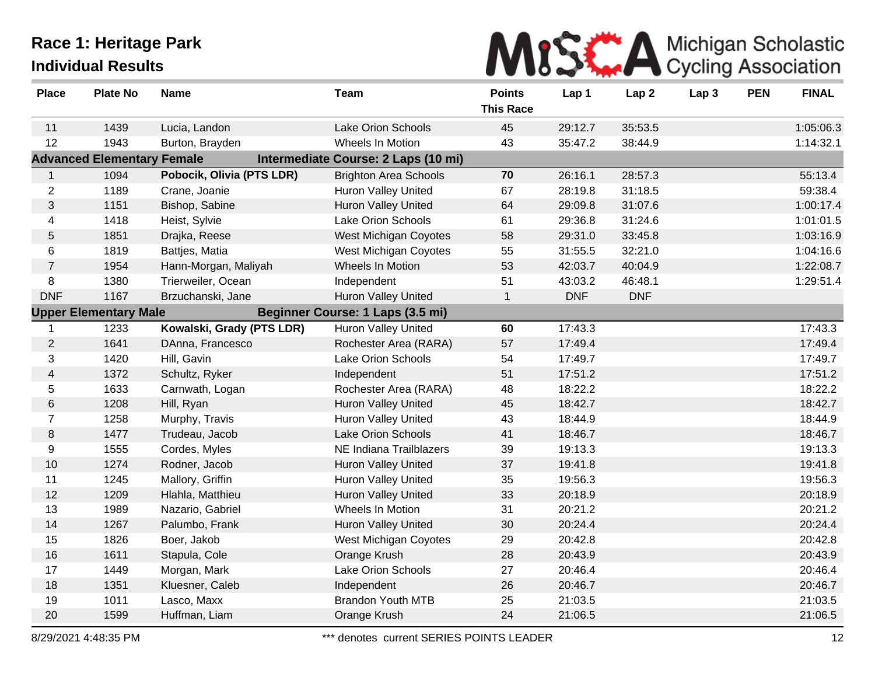

| <b>Place</b>   | <b>Plate No</b>                   | <b>Name</b>               | Team                                | <b>Points</b>    | Lap 1      | Lap <sub>2</sub> | Lap <sub>3</sub> | <b>PEN</b> | <b>FINAL</b> |
|----------------|-----------------------------------|---------------------------|-------------------------------------|------------------|------------|------------------|------------------|------------|--------------|
|                |                                   |                           |                                     | <b>This Race</b> |            |                  |                  |            |              |
| 11             | 1439                              | Lucia, Landon             | <b>Lake Orion Schools</b>           | 45               | 29:12.7    | 35:53.5          |                  |            | 1:05:06.3    |
| 12             | 1943                              | Burton, Brayden           | Wheels In Motion                    | 43               | 35:47.2    | 38:44.9          |                  |            | 1:14:32.1    |
|                | <b>Advanced Elementary Female</b> |                           | Intermediate Course: 2 Laps (10 mi) |                  |            |                  |                  |            |              |
| $\mathbf{1}$   | 1094                              | Pobocik, Olivia (PTS LDR) | <b>Brighton Area Schools</b>        | 70               | 26:16.1    | 28:57.3          |                  |            | 55:13.4      |
| $\overline{2}$ | 1189                              | Crane, Joanie             | <b>Huron Valley United</b>          | 67               | 28:19.8    | 31:18.5          |                  |            | 59:38.4      |
| 3              | 1151                              | Bishop, Sabine            | <b>Huron Valley United</b>          | 64               | 29:09.8    | 31:07.6          |                  |            | 1:00:17.4    |
| 4              | 1418                              | Heist, Sylvie             | Lake Orion Schools                  | 61               | 29:36.8    | 31:24.6          |                  |            | 1:01:01.5    |
| 5              | 1851                              | Drajka, Reese             | West Michigan Coyotes               | 58               | 29:31.0    | 33:45.8          |                  |            | 1:03:16.9    |
| 6              | 1819                              | Battjes, Matia            | <b>West Michigan Coyotes</b>        | 55               | 31:55.5    | 32:21.0          |                  |            | 1:04:16.6    |
| $\overline{7}$ | 1954                              | Hann-Morgan, Maliyah      | Wheels In Motion                    | 53               | 42:03.7    | 40:04.9          |                  |            | 1:22:08.7    |
| 8              | 1380                              | Trierweiler, Ocean        | Independent                         | 51               | 43:03.2    | 46:48.1          |                  |            | 1:29:51.4    |
| <b>DNF</b>     | 1167                              | Brzuchanski, Jane         | Huron Valley United                 | $\mathbf{1}$     | <b>DNF</b> | <b>DNF</b>       |                  |            |              |
|                | <b>Upper Elementary Male</b>      |                           | Beginner Course: 1 Laps (3.5 mi)    |                  |            |                  |                  |            |              |
|                | 1233                              | Kowalski, Grady (PTS LDR) | Huron Valley United                 | 60               | 17:43.3    |                  |                  |            | 17:43.3      |
| $\overline{2}$ | 1641                              | DAnna, Francesco          | Rochester Area (RARA)               | 57               | 17:49.4    |                  |                  |            | 17:49.4      |
| 3              | 1420                              | Hill, Gavin               | Lake Orion Schools                  | 54               | 17:49.7    |                  |                  |            | 17:49.7      |
| 4              | 1372                              | Schultz, Ryker            | Independent                         | 51               | 17:51.2    |                  |                  |            | 17:51.2      |
| 5              | 1633                              | Carnwath, Logan           | Rochester Area (RARA)               | 48               | 18:22.2    |                  |                  |            | 18:22.2      |
| 6              | 1208                              | Hill, Ryan                | <b>Huron Valley United</b>          | 45               | 18:42.7    |                  |                  |            | 18:42.7      |
| $\overline{7}$ | 1258                              | Murphy, Travis            | Huron Valley United                 | 43               | 18:44.9    |                  |                  |            | 18:44.9      |
| $\,8\,$        | 1477                              | Trudeau, Jacob            | <b>Lake Orion Schools</b>           | 41               | 18:46.7    |                  |                  |            | 18:46.7      |
| 9              | 1555                              | Cordes, Myles             | NE Indiana Trailblazers             | 39               | 19:13.3    |                  |                  |            | 19:13.3      |
| 10             | 1274                              | Rodner, Jacob             | Huron Valley United                 | 37               | 19:41.8    |                  |                  |            | 19:41.8      |
| 11             | 1245                              | Mallory, Griffin          | Huron Valley United                 | 35               | 19:56.3    |                  |                  |            | 19:56.3      |
| 12             | 1209                              | Hlahla, Matthieu          | <b>Huron Valley United</b>          | 33               | 20:18.9    |                  |                  |            | 20:18.9      |
| 13             | 1989                              | Nazario, Gabriel          | Wheels In Motion                    | 31               | 20:21.2    |                  |                  |            | 20:21.2      |
| 14             | 1267                              | Palumbo, Frank            | <b>Huron Valley United</b>          | 30               | 20:24.4    |                  |                  |            | 20:24.4      |
| 15             | 1826                              | Boer, Jakob               | West Michigan Coyotes               | 29               | 20:42.8    |                  |                  |            | 20:42.8      |
| 16             | 1611                              | Stapula, Cole             | Orange Krush                        | 28               | 20:43.9    |                  |                  |            | 20:43.9      |
| 17             | 1449                              | Morgan, Mark              | Lake Orion Schools                  | 27               | 20:46.4    |                  |                  |            | 20:46.4      |
| 18             | 1351                              | Kluesner, Caleb           | Independent                         | 26               | 20:46.7    |                  |                  |            | 20:46.7      |
| 19             | 1011                              | Lasco, Maxx               | <b>Brandon Youth MTB</b>            | 25               | 21:03.5    |                  |                  |            | 21:03.5      |
| 20             | 1599                              | Huffman, Liam             | Orange Krush                        | 24               | 21:06.5    |                  |                  |            | 21:06.5      |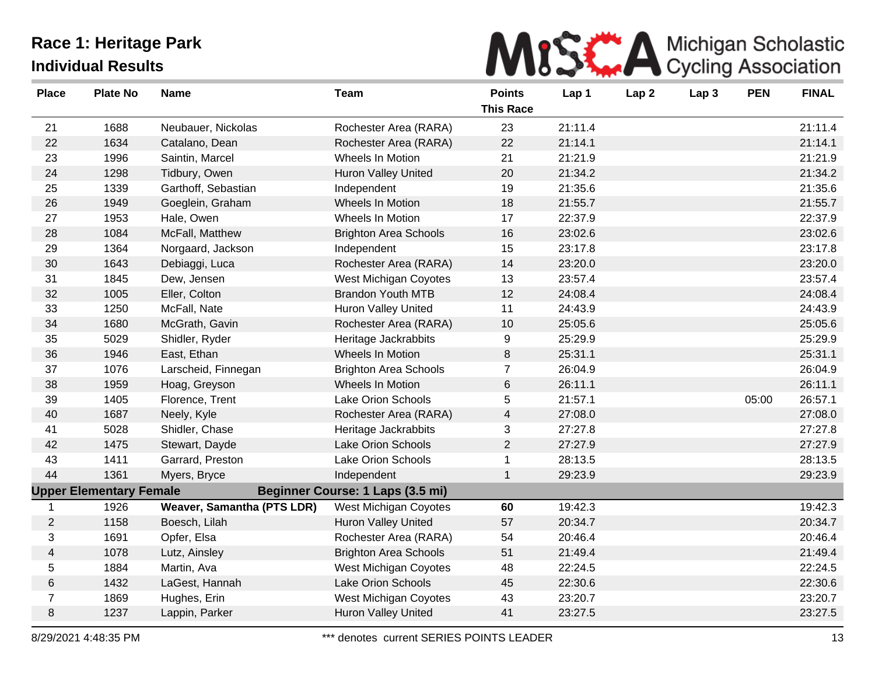

| <b>Place</b>   | <b>Plate No</b>                | <b>Name</b>                | <b>Team</b>                      | <b>Points</b><br><b>This Race</b> | Lap 1   | Lap <sub>2</sub> | Lap <sub>3</sub> | <b>PEN</b> | <b>FINAL</b> |
|----------------|--------------------------------|----------------------------|----------------------------------|-----------------------------------|---------|------------------|------------------|------------|--------------|
| 21             | 1688                           | Neubauer, Nickolas         | Rochester Area (RARA)            | 23                                | 21:11.4 |                  |                  |            | 21:11.4      |
| 22             | 1634                           | Catalano, Dean             | Rochester Area (RARA)            | 22                                | 21:14.1 |                  |                  |            | 21:14.1      |
| 23             | 1996                           | Saintin, Marcel            | Wheels In Motion                 | 21                                | 21:21.9 |                  |                  |            | 21:21.9      |
| 24             | 1298                           | Tidbury, Owen              | <b>Huron Valley United</b>       | 20                                | 21:34.2 |                  |                  |            | 21:34.2      |
| 25             | 1339                           | Garthoff, Sebastian        | Independent                      | 19                                | 21:35.6 |                  |                  |            | 21:35.6      |
| 26             | 1949                           | Goeglein, Graham           | Wheels In Motion                 | 18                                | 21:55.7 |                  |                  |            | 21:55.7      |
| 27             | 1953                           | Hale, Owen                 | Wheels In Motion                 | 17                                | 22:37.9 |                  |                  |            | 22:37.9      |
| 28             | 1084                           | McFall, Matthew            | <b>Brighton Area Schools</b>     | 16                                | 23:02.6 |                  |                  |            | 23:02.6      |
| 29             | 1364                           | Norgaard, Jackson          | Independent                      | 15                                | 23:17.8 |                  |                  |            | 23:17.8      |
| 30             | 1643                           | Debiaggi, Luca             | Rochester Area (RARA)            | 14                                | 23:20.0 |                  |                  |            | 23:20.0      |
| 31             | 1845                           | Dew, Jensen                | West Michigan Coyotes            | 13                                | 23:57.4 |                  |                  |            | 23:57.4      |
| 32             | 1005                           | Eller, Colton              | <b>Brandon Youth MTB</b>         | 12                                | 24:08.4 |                  |                  |            | 24:08.4      |
| 33             | 1250                           | McFall, Nate               | <b>Huron Valley United</b>       | 11                                | 24:43.9 |                  |                  |            | 24:43.9      |
| 34             | 1680                           | McGrath, Gavin             | Rochester Area (RARA)            | 10                                | 25:05.6 |                  |                  |            | 25:05.6      |
| 35             | 5029                           | Shidler, Ryder             | Heritage Jackrabbits             | 9                                 | 25:29.9 |                  |                  |            | 25:29.9      |
| 36             | 1946                           | East, Ethan                | Wheels In Motion                 | 8                                 | 25:31.1 |                  |                  |            | 25:31.1      |
| 37             | 1076                           | Larscheid, Finnegan        | <b>Brighton Area Schools</b>     | $\overline{7}$                    | 26:04.9 |                  |                  |            | 26:04.9      |
| 38             | 1959                           | Hoag, Greyson              | Wheels In Motion                 | $\,6$                             | 26:11.1 |                  |                  |            | 26:11.1      |
| 39             | 1405                           | Florence, Trent            | Lake Orion Schools               | 5                                 | 21:57.1 |                  |                  | 05:00      | 26:57.1      |
| 40             | 1687                           | Neely, Kyle                | Rochester Area (RARA)            | $\overline{\mathbf{4}}$           | 27:08.0 |                  |                  |            | 27:08.0      |
| 41             | 5028                           | Shidler, Chase             | Heritage Jackrabbits             | 3                                 | 27:27.8 |                  |                  |            | 27:27.8      |
| 42             | 1475                           | Stewart, Dayde             | Lake Orion Schools               | $\overline{2}$                    | 27:27.9 |                  |                  |            | 27:27.9      |
| 43             | 1411                           | Garrard, Preston           | Lake Orion Schools               | $\mathbf 1$                       | 28:13.5 |                  |                  |            | 28:13.5      |
| 44             | 1361                           | Myers, Bryce               | Independent                      | $\mathbf 1$                       | 29:23.9 |                  |                  |            | 29:23.9      |
|                | <b>Upper Elementary Female</b> |                            | Beginner Course: 1 Laps (3.5 mi) |                                   |         |                  |                  |            |              |
| 1              | 1926                           | Weaver, Samantha (PTS LDR) | West Michigan Coyotes            | 60                                | 19:42.3 |                  |                  |            | 19:42.3      |
| 2              | 1158                           | Boesch, Lilah              | Huron Valley United              | 57                                | 20:34.7 |                  |                  |            | 20:34.7      |
| 3              | 1691                           | Opfer, Elsa                | Rochester Area (RARA)            | 54                                | 20:46.4 |                  |                  |            | 20:46.4      |
| 4              | 1078                           | Lutz, Ainsley              | <b>Brighton Area Schools</b>     | 51                                | 21:49.4 |                  |                  |            | 21:49.4      |
| 5              | 1884                           | Martin, Ava                | West Michigan Coyotes            | 48                                | 22:24.5 |                  |                  |            | 22:24.5      |
| $\,6$          | 1432                           | LaGest, Hannah             | Lake Orion Schools               | 45                                | 22:30.6 |                  |                  |            | 22:30.6      |
| $\overline{7}$ | 1869                           | Hughes, Erin               | West Michigan Coyotes            | 43                                | 23:20.7 |                  |                  |            | 23:20.7      |
| 8              | 1237                           | Lappin, Parker             | <b>Huron Valley United</b>       | 41                                | 23:27.5 |                  |                  |            | 23:27.5      |
|                |                                |                            |                                  |                                   |         |                  |                  |            |              |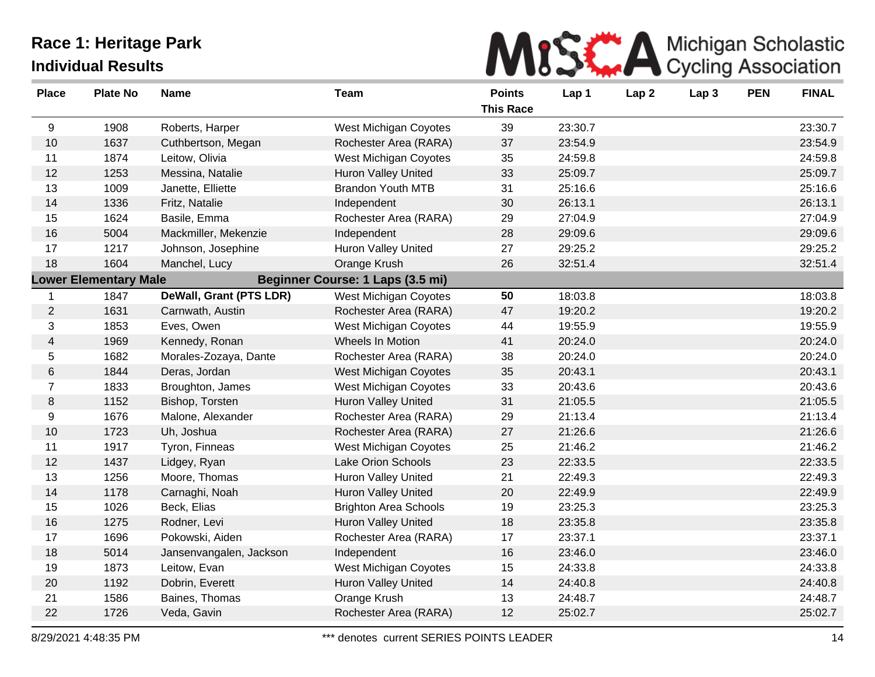

| <b>Place</b>   | <b>Plate No</b>              | <b>Name</b>             | <b>Team</b>                      | <b>Points</b><br><b>This Race</b> | Lap 1   | Lap <sub>2</sub> | Lap 3 | <b>PEN</b> | <b>FINAL</b> |
|----------------|------------------------------|-------------------------|----------------------------------|-----------------------------------|---------|------------------|-------|------------|--------------|
| 9              | 1908                         | Roberts, Harper         | West Michigan Coyotes            | 39                                | 23:30.7 |                  |       |            | 23:30.7      |
| 10             | 1637                         | Cuthbertson, Megan      | Rochester Area (RARA)            | 37                                | 23:54.9 |                  |       |            | 23:54.9      |
| 11             | 1874                         | Leitow, Olivia          | West Michigan Coyotes            | 35                                | 24:59.8 |                  |       |            | 24:59.8      |
| 12             | 1253                         | Messina, Natalie        | Huron Valley United              | 33                                | 25:09.7 |                  |       |            | 25:09.7      |
| 13             | 1009                         | Janette, Elliette       | <b>Brandon Youth MTB</b>         | 31                                | 25:16.6 |                  |       |            | 25:16.6      |
| 14             | 1336                         | Fritz, Natalie          | Independent                      | 30                                | 26:13.1 |                  |       |            | 26:13.1      |
| 15             | 1624                         | Basile, Emma            | Rochester Area (RARA)            | 29                                | 27:04.9 |                  |       |            | 27:04.9      |
| 16             | 5004                         | Mackmiller, Mekenzie    | Independent                      | 28                                | 29:09.6 |                  |       |            | 29:09.6      |
| 17             | 1217                         | Johnson, Josephine      | Huron Valley United              | 27                                | 29:25.2 |                  |       |            | 29:25.2      |
| 18             | 1604                         | Manchel, Lucy           | Orange Krush                     | 26                                | 32:51.4 |                  |       |            | 32:51.4      |
|                | <b>Lower Elementary Male</b> |                         | Beginner Course: 1 Laps (3.5 mi) |                                   |         |                  |       |            |              |
| $\mathbf{1}$   | 1847                         | DeWall, Grant (PTS LDR) | West Michigan Coyotes            | 50                                | 18:03.8 |                  |       |            | 18:03.8      |
| $\overline{2}$ | 1631                         | Carnwath, Austin        | Rochester Area (RARA)            | 47                                | 19:20.2 |                  |       |            | 19:20.2      |
| 3              | 1853                         | Eves, Owen              | West Michigan Coyotes            | 44                                | 19:55.9 |                  |       |            | 19:55.9      |
| $\overline{4}$ | 1969                         | Kennedy, Ronan          | Wheels In Motion                 | 41                                | 20:24.0 |                  |       |            | 20:24.0      |
| 5              | 1682                         | Morales-Zozaya, Dante   | Rochester Area (RARA)            | 38                                | 20:24.0 |                  |       |            | 20:24.0      |
| 6              | 1844                         | Deras, Jordan           | <b>West Michigan Coyotes</b>     | 35                                | 20:43.1 |                  |       |            | 20:43.1      |
| $\overline{7}$ | 1833                         | Broughton, James        | West Michigan Coyotes            | 33                                | 20:43.6 |                  |       |            | 20:43.6      |
| $\, 8$         | 1152                         | Bishop, Torsten         | Huron Valley United              | 31                                | 21:05.5 |                  |       |            | 21:05.5      |
| 9              | 1676                         | Malone, Alexander       | Rochester Area (RARA)            | 29                                | 21:13.4 |                  |       |            | 21:13.4      |
| 10             | 1723                         | Uh, Joshua              | Rochester Area (RARA)            | 27                                | 21:26.6 |                  |       |            | 21:26.6      |
| 11             | 1917                         | Tyron, Finneas          | West Michigan Coyotes            | 25                                | 21:46.2 |                  |       |            | 21:46.2      |
| 12             | 1437                         | Lidgey, Ryan            | Lake Orion Schools               | 23                                | 22:33.5 |                  |       |            | 22:33.5      |
| 13             | 1256                         | Moore, Thomas           | <b>Huron Valley United</b>       | 21                                | 22:49.3 |                  |       |            | 22:49.3      |
| 14             | 1178                         | Carnaghi, Noah          | Huron Valley United              | 20                                | 22:49.9 |                  |       |            | 22:49.9      |
| 15             | 1026                         | Beck, Elias             | <b>Brighton Area Schools</b>     | 19                                | 23:25.3 |                  |       |            | 23:25.3      |
| 16             | 1275                         | Rodner, Levi            | Huron Valley United              | 18                                | 23:35.8 |                  |       |            | 23:35.8      |
| 17             | 1696                         | Pokowski, Aiden         | Rochester Area (RARA)            | 17                                | 23:37.1 |                  |       |            | 23:37.1      |
| 18             | 5014                         | Jansenvangalen, Jackson | Independent                      | 16                                | 23:46.0 |                  |       |            | 23:46.0      |
| 19             | 1873                         | Leitow, Evan            | West Michigan Coyotes            | 15                                | 24:33.8 |                  |       |            | 24:33.8      |
| 20             | 1192                         | Dobrin, Everett         | Huron Valley United              | 14                                | 24:40.8 |                  |       |            | 24:40.8      |
| 21             | 1586                         | Baines, Thomas          | Orange Krush                     | 13                                | 24:48.7 |                  |       |            | 24:48.7      |
| 22             | 1726                         | Veda, Gavin             | Rochester Area (RARA)            | 12                                | 25:02.7 |                  |       |            | 25:02.7      |
|                |                              |                         |                                  |                                   |         |                  |       |            |              |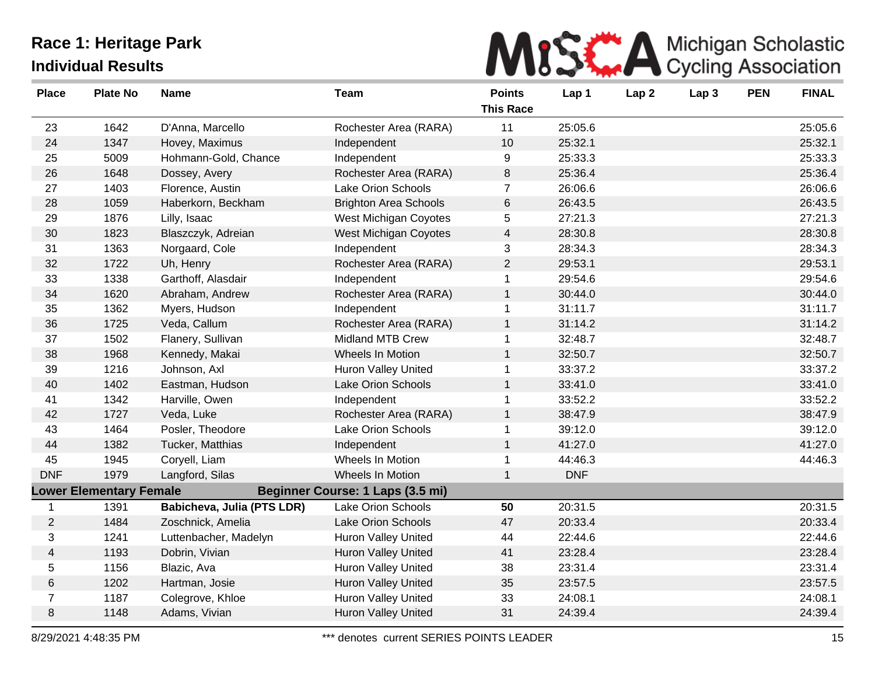

| <b>Place</b>   | <b>Plate No</b>                | <b>Name</b>                | <b>Team</b>                      | <b>Points</b><br><b>This Race</b> | Lap 1      | Lap <sub>2</sub> | Lap 3 | <b>PEN</b> | <b>FINAL</b> |
|----------------|--------------------------------|----------------------------|----------------------------------|-----------------------------------|------------|------------------|-------|------------|--------------|
|                |                                |                            |                                  |                                   |            |                  |       |            |              |
| 23             | 1642                           | D'Anna, Marcello           | Rochester Area (RARA)            | 11                                | 25:05.6    |                  |       |            | 25:05.6      |
| 24             | 1347                           | Hovey, Maximus             | Independent                      | 10                                | 25:32.1    |                  |       |            | 25:32.1      |
| 25             | 5009                           | Hohmann-Gold, Chance       | Independent                      | 9                                 | 25:33.3    |                  |       |            | 25:33.3      |
| 26             | 1648                           | Dossey, Avery              | Rochester Area (RARA)            | 8                                 | 25:36.4    |                  |       |            | 25:36.4      |
| 27             | 1403                           | Florence, Austin           | Lake Orion Schools               | $\overline{7}$                    | 26:06.6    |                  |       |            | 26:06.6      |
| 28             | 1059                           | Haberkorn, Beckham         | <b>Brighton Area Schools</b>     | 6                                 | 26:43.5    |                  |       |            | 26:43.5      |
| 29             | 1876                           | Lilly, Isaac               | West Michigan Coyotes            | 5                                 | 27:21.3    |                  |       |            | 27:21.3      |
| 30             | 1823                           | Blaszczyk, Adreian         | <b>West Michigan Coyotes</b>     | $\overline{\mathbf{4}}$           | 28:30.8    |                  |       |            | 28:30.8      |
| 31             | 1363                           | Norgaard, Cole             | Independent                      | 3                                 | 28:34.3    |                  |       |            | 28:34.3      |
| 32             | 1722                           | Uh, Henry                  | Rochester Area (RARA)            | $\overline{2}$                    | 29:53.1    |                  |       |            | 29:53.1      |
| 33             | 1338                           | Garthoff, Alasdair         | Independent                      | $\mathbf{1}$                      | 29:54.6    |                  |       |            | 29:54.6      |
| 34             | 1620                           | Abraham, Andrew            | Rochester Area (RARA)            | $\mathbf{1}$                      | 30:44.0    |                  |       |            | 30:44.0      |
| 35             | 1362                           | Myers, Hudson              | Independent                      | $\mathbf{1}$                      | 31:11.7    |                  |       |            | 31:11.7      |
| 36             | 1725                           | Veda, Callum               | Rochester Area (RARA)            | $\mathbf{1}$                      | 31:14.2    |                  |       |            | 31:14.2      |
| 37             | 1502                           | Flanery, Sullivan          | Midland MTB Crew                 | 1                                 | 32:48.7    |                  |       |            | 32:48.7      |
| 38             | 1968                           | Kennedy, Makai             | Wheels In Motion                 | $\mathbf{1}$                      | 32:50.7    |                  |       |            | 32:50.7      |
| 39             | 1216                           | Johnson, Axl               | <b>Huron Valley United</b>       | 1                                 | 33:37.2    |                  |       |            | 33:37.2      |
| 40             | 1402                           | Eastman, Hudson            | Lake Orion Schools               | $\mathbf{1}$                      | 33:41.0    |                  |       |            | 33:41.0      |
| 41             | 1342                           | Harville, Owen             | Independent                      | 1                                 | 33:52.2    |                  |       |            | 33:52.2      |
| 42             | 1727                           | Veda, Luke                 | Rochester Area (RARA)            | $\mathbf{1}$                      | 38:47.9    |                  |       |            | 38:47.9      |
| 43             | 1464                           | Posler, Theodore           | Lake Orion Schools               | 1                                 | 39:12.0    |                  |       |            | 39:12.0      |
| 44             | 1382                           | Tucker, Matthias           | Independent                      | $\mathbf{1}$                      | 41:27.0    |                  |       |            | 41:27.0      |
| 45             | 1945                           | Coryell, Liam              | Wheels In Motion                 | 1                                 | 44:46.3    |                  |       |            | 44:46.3      |
| <b>DNF</b>     | 1979                           | Langford, Silas            | Wheels In Motion                 | $\mathbf{1}$                      | <b>DNF</b> |                  |       |            |              |
|                | <b>Lower Elementary Female</b> |                            | Beginner Course: 1 Laps (3.5 mi) |                                   |            |                  |       |            |              |
| $\mathbf 1$    | 1391                           | Babicheva, Julia (PTS LDR) | Lake Orion Schools               | 50                                | 20:31.5    |                  |       |            | 20:31.5      |
| $\overline{2}$ | 1484                           | Zoschnick, Amelia          | Lake Orion Schools               | 47                                | 20:33.4    |                  |       |            | 20:33.4      |
| 3              | 1241                           | Luttenbacher, Madelyn      | Huron Valley United              | 44                                | 22:44.6    |                  |       |            | 22:44.6      |
| 4              | 1193                           | Dobrin, Vivian             | Huron Valley United              | 41                                | 23:28.4    |                  |       |            | 23:28.4      |
| 5              | 1156                           | Blazic, Ava                | Huron Valley United              | 38                                | 23:31.4    |                  |       |            | 23:31.4      |
| 6              | 1202                           | Hartman, Josie             | Huron Valley United              | 35                                | 23:57.5    |                  |       |            | 23:57.5      |
| $\overline{7}$ | 1187                           | Colegrove, Khloe           | Huron Valley United              | 33                                | 24:08.1    |                  |       |            | 24:08.1      |
| 8              | 1148                           | Adams, Vivian              | <b>Huron Valley United</b>       | 31                                | 24:39.4    |                  |       |            | 24:39.4      |
|                |                                |                            |                                  |                                   |            |                  |       |            |              |